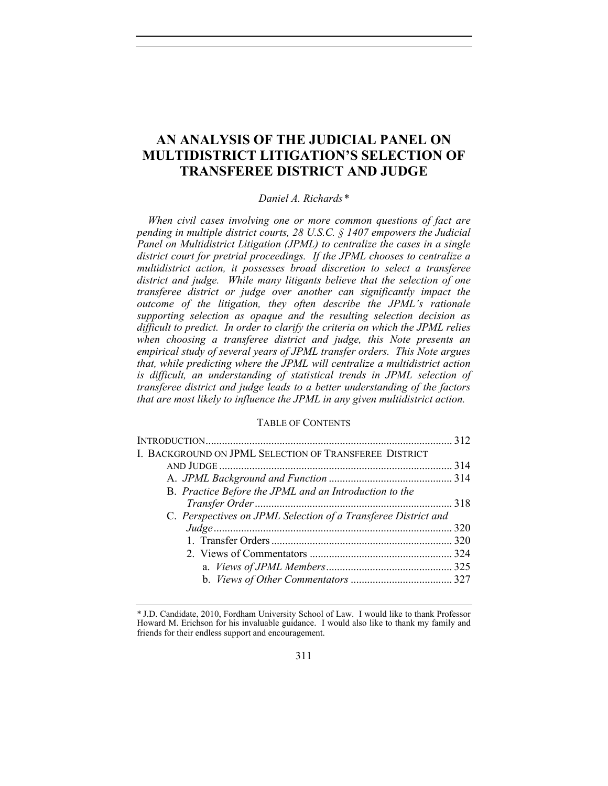# **AN ANALYSIS OF THE JUDICIAL PANEL ON MULTIDISTRICT LITIGATION'S SELECTION OF TRANSFEREE DISTRICT AND JUDGE**

# *Daniel A. Richards[\\*](#page-0-0)*

*When civil cases involving one or more common questions of fact are pending in multiple district courts, 28 U.S.C. § 1407 empowers the Judicial Panel on Multidistrict Litigation (JPML) to centralize the cases in a single district court for pretrial proceedings. If the JPML chooses to centralize a multidistrict action, it possesses broad discretion to select a transferee district and judge. While many litigants believe that the selection of one transferee district or judge over another can significantly impact the outcome of the litigation, they often describe the JPML's rationale supporting selection as opaque and the resulting selection decision as difficult to predict. In order to clarify the criteria on which the JPML relies when choosing a transferee district and judge, this Note presents an empirical study of several years of JPML transfer orders. This Note argues that, while predicting where the JPML will centralize a multidistrict action is difficult, an understanding of statistical trends in JPML selection of transferee district and judge leads to a better understanding of the factors that are most likely to influence the JPML in any given multidistrict action.* 

### TABLE OF CONTENTS

| I. BACKGROUND ON JPML SELECTION OF TRANSFEREE DISTRICT         |  |
|----------------------------------------------------------------|--|
|                                                                |  |
|                                                                |  |
| B. Practice Before the JPML and an Introduction to the         |  |
|                                                                |  |
| C. Perspectives on JPML Selection of a Transferee District and |  |
|                                                                |  |
|                                                                |  |
|                                                                |  |
|                                                                |  |
|                                                                |  |
|                                                                |  |

<span id="page-0-0"></span><sup>\*</sup> J.D. Candidate, 2010, Fordham University School of Law. I would like to thank Professor Howard M. Erichson for his invaluable guidance. I would also like to thank my family and friends for their endless support and encouragement.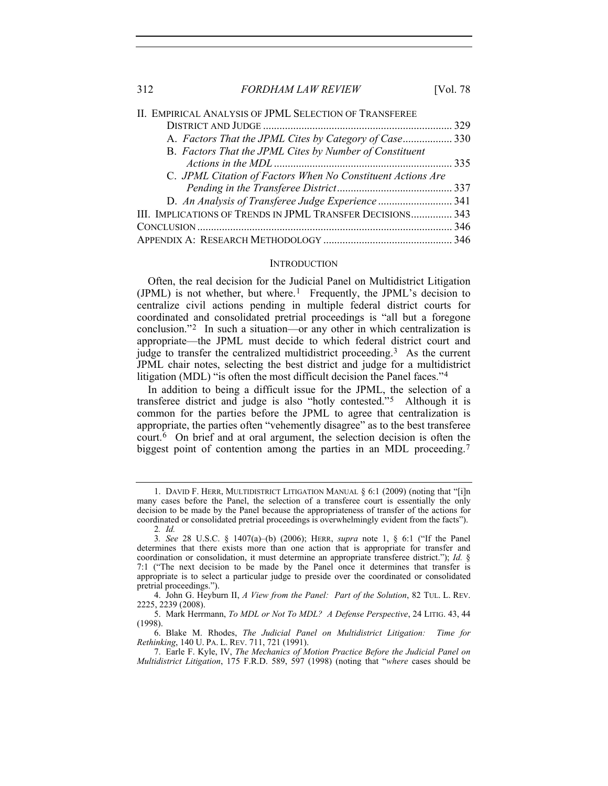| II. EMPIRICAL ANALYSIS OF JPML SELECTION OF TRANSFEREE      |  |
|-------------------------------------------------------------|--|
|                                                             |  |
| A. Factors That the JPML Cites by Category of Case 330      |  |
| B. Factors That the JPML Cites by Number of Constituent     |  |
|                                                             |  |
| C. JPML Citation of Factors When No Constituent Actions Are |  |
|                                                             |  |
| D. An Analysis of Transferee Judge Experience341            |  |
| III. IMPLICATIONS OF TRENDS IN JPML TRANSFER DECISIONS 343  |  |
|                                                             |  |
|                                                             |  |
|                                                             |  |

#### **INTRODUCTION**

<span id="page-1-0"></span>Often, the real decision for the Judicial Panel on Multidistrict Litigation (JPML) is not whether, but where.<sup>[1](#page-1-1)</sup> Frequently, the JPML's decision to centralize civil actions pending in multiple federal district courts for coordinated and consolidated pretrial proceedings is "all but a foregone conclusion."[2](#page-1-2) In such a situation—or any other in which centralization is appropriate—the JPML must decide to which federal district court and judge to transfer the centralized multidistrict proceeding.[3](#page-1-3) As the current JPML chair notes, selecting the best district and judge for a multidistrict litigation (MDL) "is often the most difficult decision the Panel faces."[4](#page-1-4)

In addition to being a difficult issue for the JPML, the selection of a transferee district and judge is also "hotly contested."[5](#page-1-5) Although it is common for the parties before the JPML to agree that centralization is appropriate, the parties often "vehemently disagree" as to the best transferee court.[6](#page-1-6) On brief and at oral argument, the selection decision is often the biggest point of contention among the parties in an MDL proceeding.<sup>[7](#page-1-7)</sup>

2*. Id.*

<span id="page-1-1"></span> <sup>1.</sup> DAVID F. HERR, MULTIDISTRICT LITIGATION MANUAL § 6:1 (2009) (noting that "[i]n many cases before the Panel, the selection of a transferee court is essentially the only decision to be made by the Panel because the appropriateness of transfer of the actions for coordinated or consolidated pretrial proceedings is overwhelmingly evident from the facts").

<span id="page-1-3"></span><span id="page-1-2"></span><sup>3</sup>*. See* 28 U.S.C. § 1407(a)–(b) (2006); HERR, *supra* note 1, § 6:1 ("If the Panel determines that there exists more than one action that is appropriate for transfer and coordination or consolidation, it must determine an appropriate transferee district."); *Id.* § 7:1 ("The next decision to be made by the Panel once it determines that transfer is appropriate is to select a particular judge to preside over the coordinated or consolidated pretrial proceedings.").

<span id="page-1-4"></span> <sup>4.</sup> John G. Heyburn II, *A View from the Panel: Part of the Solution*, 82 TUL. L. REV. 2225, 2239 (2008).

<span id="page-1-5"></span> <sup>5.</sup> Mark Herrmann, *To MDL or Not To MDL? A Defense Perspective*, 24 LITIG. 43, 44 (1998).

<span id="page-1-6"></span> <sup>6.</sup> Blake M. Rhodes, *The Judicial Panel on Multidistrict Litigation: Time for Rethinking*, 140 U. PA. L. REV. 711, 721 (1991).

<span id="page-1-7"></span> <sup>7.</sup> Earle F. Kyle, IV, *The Mechanics of Motion Practice Before the Judicial Panel on Multidistrict Litigation*, 175 F.R.D. 589, 597 (1998) (noting that "*where* cases should be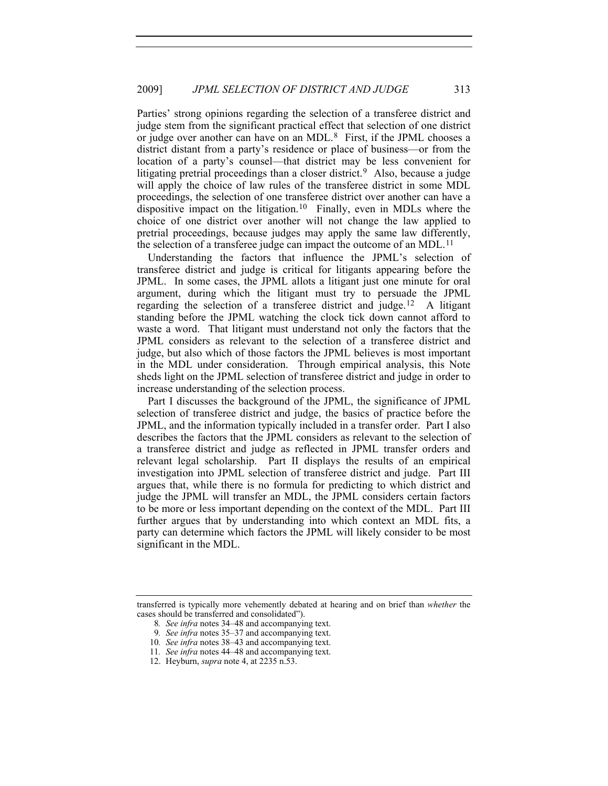Parties' strong opinions regarding the selection of a transferee district and judge stem from the significant practical effect that selection of one district or judge over another can have on an MDL.[8](#page-2-0) First, if the JPML chooses a district distant from a party's residence or place of business—or from the location of a party's counsel—that district may be less convenient for litigating pretrial proceedings than a closer district.<sup>[9](#page-2-1)</sup> Also, because a judge will apply the choice of law rules of the transferee district in some MDL proceedings, the selection of one transferee district over another can have a dispositive impact on the litigation.[10](#page-2-2) Finally, even in MDLs where the choice of one district over another will not change the law applied to pretrial proceedings, because judges may apply the same law differently, the selection of a transferee judge can impact the outcome of an MDL.<sup>[11](#page-2-3)</sup>

Understanding the factors that influence the JPML's selection of transferee district and judge is critical for litigants appearing before the JPML. In some cases, the JPML allots a litigant just one minute for oral argument, during which the litigant must try to persuade the JPML regarding the selection of a transferee district and judge.[12](#page-2-4) A litigant standing before the JPML watching the clock tick down cannot afford to waste a word. That litigant must understand not only the factors that the JPML considers as relevant to the selection of a transferee district and judge, but also which of those factors the JPML believes is most important in the MDL under consideration. Through empirical analysis, this Note sheds light on the JPML selection of transferee district and judge in order to increase understanding of the selection process.

Part I discusses the background of the JPML, the significance of JPML selection of transferee district and judge, the basics of practice before the JPML, and the information typically included in a transfer order. Part I also describes the factors that the JPML considers as relevant to the selection of a transferee district and judge as reflected in JPML transfer orders and relevant legal scholarship. Part II displays the results of an empirical investigation into JPML selection of transferee district and judge. Part III argues that, while there is no formula for predicting to which district and judge the JPML will transfer an MDL, the JPML considers certain factors to be more or less important depending on the context of the MDL. Part III further argues that by understanding into which context an MDL fits, a party can determine which factors the JPML will likely consider to be most significant in the MDL.

<span id="page-2-4"></span><span id="page-2-3"></span><span id="page-2-2"></span><span id="page-2-1"></span><span id="page-2-0"></span>transferred is typically more vehemently debated at hearing and on brief than *whether* the cases should be transferred and consolidated").

<sup>8</sup>*. See infra* notes 34–48 and accompanying text.

<sup>9</sup>*. See infra* notes 35–37 and accompanying text.

<sup>10</sup>*. See infra* notes 38–43 and accompanying text.

<sup>11</sup>*. See infra* notes 44–48 and accompanying text.

 <sup>12.</sup> Heyburn, *supra* note 4, at 2235 n.53.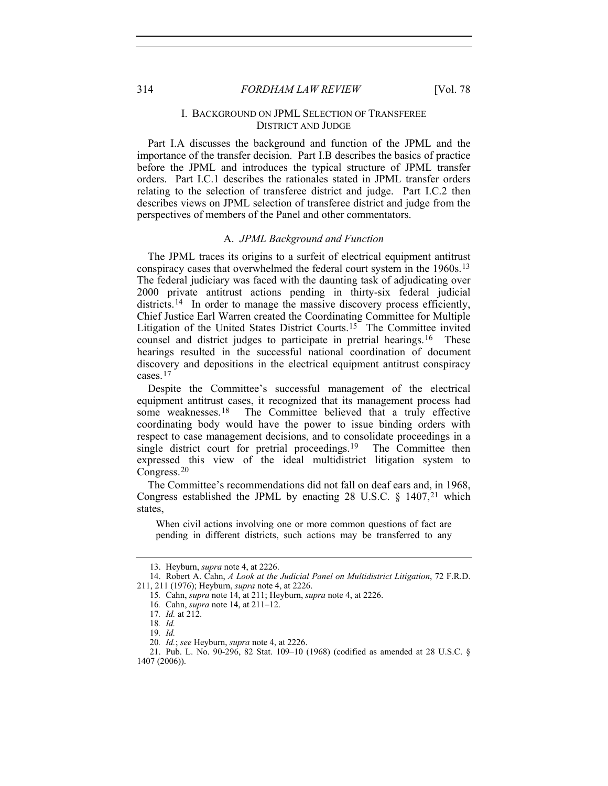# I. BACKGROUND ON JPML SELECTION OF TRANSFEREE DISTRICT AND JUDGE

<span id="page-3-0"></span>Part I.A discusses the background and function of the JPML and the importance of the transfer decision. Part I.B describes the basics of practice before the JPML and introduces the typical structure of JPML transfer orders. Part I.C.1 describes the rationales stated in JPML transfer orders relating to the selection of transferee district and judge. Part I.C.2 then describes views on JPML selection of transferee district and judge from the perspectives of members of the Panel and other commentators.

#### A. *JPML Background and Function*

<span id="page-3-1"></span>The JPML traces its origins to a surfeit of electrical equipment antitrust conspiracy cases that overwhelmed the federal court system in the 1960s.[13](#page-3-2) The federal judiciary was faced with the daunting task of adjudicating over 2000 private antitrust actions pending in thirty-six federal judicial districts.<sup>[14](#page-3-3)</sup> In order to manage the massive discovery process efficiently, Chief Justice Earl Warren created the Coordinating Committee for Multiple Litigation of the United States District Courts.<sup>[15](#page-3-4)</sup> The Committee invited counsel and district judges to participate in pretrial hearings.<sup>[16](#page-3-5)</sup> These hearings resulted in the successful national coordination of document discovery and depositions in the electrical equipment antitrust conspiracy cases.[17](#page-3-6)

Despite the Committee's successful management of the electrical equipment antitrust cases, it recognized that its management process had some weaknesses.<sup>[18](#page-3-7)</sup> The Committee believed that a truly effective coordinating body would have the power to issue binding orders with respect to case management decisions, and to consolidate proceedings in a single district court for pretrial proceedings.<sup>[19](#page-3-8)</sup> The Committee then expressed this view of the ideal multidistrict litigation system to Congress.[20](#page-3-9)

The Committee's recommendations did not fall on deaf ears and, in 1968, Congress established the JPML by enacting 28 U.S.C.  $\frac{1407}{21}$  $\frac{1407}{21}$  $\frac{1407}{21}$  which states,

When civil actions involving one or more common questions of fact are pending in different districts, such actions may be transferred to any

 <sup>13.</sup> Heyburn, *supra* note 4, at 2226.

<span id="page-3-6"></span><span id="page-3-5"></span><span id="page-3-4"></span><span id="page-3-3"></span><span id="page-3-2"></span> <sup>14.</sup> Robert A. Cahn, *A Look at the Judicial Panel on Multidistrict Litigation*, 72 F.R.D. 211, 211 (1976); Heyburn, *supra* note 4, at 2226.

<sup>15</sup>*.* Cahn, *supra* note 14, at 211; Heyburn, *supra* note 4, at 2226.

<sup>16</sup>*.* Cahn, *supra* note 14, at 211–12.

<sup>17</sup>*. Id.* at 212.

<sup>18</sup>*. Id.*

<sup>19</sup>*. Id.*

<sup>20</sup>*. Id.*; *see* Heyburn, *supra* note 4, at 2226.

<span id="page-3-10"></span><span id="page-3-9"></span><span id="page-3-8"></span><span id="page-3-7"></span> <sup>21.</sup> Pub. L. No. 90-296, 82 Stat. 109–10 (1968) (codified as amended at 28 U.S.C. § 1407 (2006)).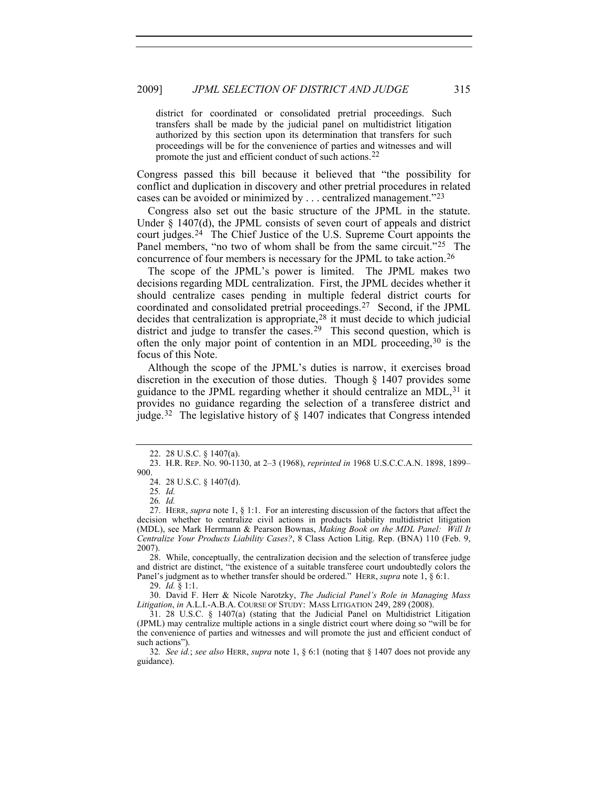district for coordinated or consolidated pretrial proceedings. Such transfers shall be made by the judicial panel on multidistrict litigation authorized by this section upon its determination that transfers for such proceedings will be for the convenience of parties and witnesses and will promote the just and efficient conduct of such actions.[22](#page-4-0)

Congress passed this bill because it believed that "the possibility for conflict and duplication in discovery and other pretrial procedures in related cases can be avoided or minimized by . . . centralized management."[23](#page-4-1)

Congress also set out the basic structure of the JPML in the statute. Under § 1407(d), the JPML consists of seven court of appeals and district court judges.[24](#page-4-2) The Chief Justice of the U.S. Supreme Court appoints the Panel members, "no two of whom shall be from the same circuit."<sup>25</sup> The concurrence of four members is necessary for the JPML to take action.[26](#page-4-4)

The scope of the JPML's power is limited. The JPML makes two decisions regarding MDL centralization. First, the JPML decides whether it should centralize cases pending in multiple federal district courts for coordinated and consolidated pretrial proceedings.[27](#page-4-5) Second, if the JPML decides that centralization is appropriate,[28](#page-4-6) it must decide to which judicial district and judge to transfer the cases.<sup>[29](#page-4-7)</sup> This second question, which is often the only major point of contention in an MDL proceeding,[30](#page-4-8) is the focus of this Note.

Although the scope of the JPML's duties is narrow, it exercises broad discretion in the execution of those duties. Though § 1407 provides some guidance to the JPML regarding whether it should centralize an MDL, <sup>[31](#page-4-9)</sup> it provides no guidance regarding the selection of a transferee district and judge.<sup>[32](#page-4-10)</sup> The legislative history of  $\S$  1407 indicates that Congress intended

<span id="page-4-6"></span> 28. While, conceptually, the centralization decision and the selection of transferee judge and district are distinct, "the existence of a suitable transferee court undoubtedly colors the Panel's judgment as to whether transfer should be ordered." HERR, *supra* note 1, § 6:1.

29. *Id.* § 1:1.

<span id="page-4-8"></span><span id="page-4-7"></span> 30. David F. Herr & Nicole Narotzky, *The Judicial Panel's Role in Managing Mass Litigation*, *in* A.L.I.-A.B.A. COURSE OF STUDY: MASS LITIGATION 249, 289 (2008).

 <sup>22. 28</sup> U.S.C. § 1407(a).

<span id="page-4-2"></span><span id="page-4-1"></span><span id="page-4-0"></span> <sup>23.</sup> H.R. REP. NO. 90-1130, at 2–3 (1968), *reprinted in* 1968 U.S.C.C.A.N. 1898, 1899– 900.

 <sup>24. 28</sup> U.S.C. § 1407(d).

<sup>25</sup>*. Id.*

<sup>26</sup>*. Id.*

<span id="page-4-5"></span><span id="page-4-4"></span><span id="page-4-3"></span> <sup>27.</sup> HERR, *supra* note 1, § 1:1. For an interesting discussion of the factors that affect the decision whether to centralize civil actions in products liability multidistrict litigation (MDL), see Mark Herrmann & Pearson Bownas, *Making Book on the MDL Panel: Will It Centralize Your Products Liability Cases?*, 8 Class Action Litig. Rep. (BNA) 110 (Feb. 9, 2007).

<span id="page-4-9"></span> <sup>31. 28</sup> U.S.C. § 1407(a) (stating that the Judicial Panel on Multidistrict Litigation (JPML) may centralize multiple actions in a single district court where doing so "will be for the convenience of parties and witnesses and will promote the just and efficient conduct of such actions").

<span id="page-4-10"></span><sup>32</sup>*. See id.*; *see also* HERR, *supra* note 1, § 6:1 (noting that § 1407 does not provide any guidance).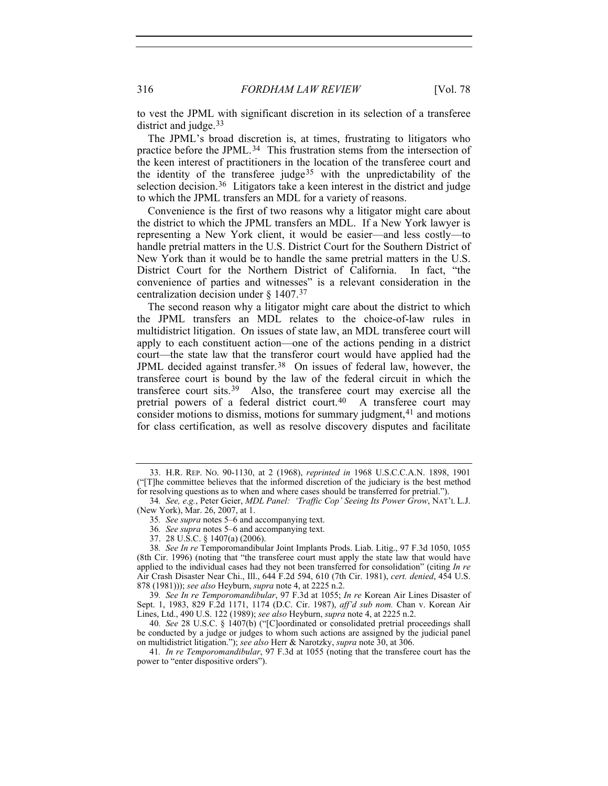to vest the JPML with significant discretion in its selection of a transferee district and judge.<sup>[33](#page-5-0)</sup>

The JPML's broad discretion is, at times, frustrating to litigators who practice before the JPML.<sup>[34](#page-5-1)</sup> This frustration stems from the intersection of the keen interest of practitioners in the location of the transferee court and the identity of the transferee judge<sup>[35](#page-5-2)</sup> with the unpredictability of the selection decision.<sup>[36](#page-5-3)</sup> Litigators take a keen interest in the district and judge to which the JPML transfers an MDL for a variety of reasons.

Convenience is the first of two reasons why a litigator might care about the district to which the JPML transfers an MDL. If a New York lawyer is representing a New York client, it would be easier—and less costly—to handle pretrial matters in the U.S. District Court for the Southern District of New York than it would be to handle the same pretrial matters in the U.S. District Court for the Northern District of California. In fact, "the convenience of parties and witnesses" is a relevant consideration in the centralization decision under § 1407.[37](#page-5-4)

The second reason why a litigator might care about the district to which the JPML transfers an MDL relates to the choice-of-law rules in multidistrict litigation. On issues of state law, an MDL transferee court will apply to each constituent action—one of the actions pending in a district court—the state law that the transferor court would have applied had the JPML decided against transfer.[38](#page-5-5) On issues of federal law, however, the transferee court is bound by the law of the federal circuit in which the transferee court sits.[39](#page-5-6) Also, the transferee court may exercise all the pretrial powers of a federal district court.<sup>[40](#page-5-7)</sup> A transferee court may consider motions to dismiss, motions for summary judgment,  $41$  and motions for class certification, as well as resolve discovery disputes and facilitate

<span id="page-5-6"></span>39*. See In re Temporomandibular*, 97 F.3d at 1055; *In re* Korean Air Lines Disaster of Sept. 1, 1983, 829 F.2d 1171, 1174 (D.C. Cir. 1987), *aff'd sub nom.* Chan v. Korean Air Lines, Ltd., 490 U.S. 122 (1989); *see also* Heyburn, *supra* note 4, at 2225 n.2.

<span id="page-5-7"></span>40*. See* 28 U.S.C. § 1407(b) ("[C]oordinated or consolidated pretrial proceedings shall be conducted by a judge or judges to whom such actions are assigned by the judicial panel on multidistrict litigation."); *see also* Herr & Narotzky, *supra* note 30, at 306.

<span id="page-5-8"></span>41*. In re Temporomandibular*, 97 F.3d at 1055 (noting that the transferee court has the power to "enter dispositive orders").

<span id="page-5-0"></span> <sup>33.</sup> H.R. REP. NO. 90-1130, at 2 (1968), *reprinted in* 1968 U.S.C.C.A.N. 1898, 1901 ("[T]he committee believes that the informed discretion of the judiciary is the best method for resolving questions as to when and where cases should be transferred for pretrial.").

<span id="page-5-2"></span><span id="page-5-1"></span><sup>34</sup>*. See, e.g.*, Peter Geier, *MDL Panel: 'Traffic Cop' Seeing Its Power Grow*, NAT'L L.J. (New York), Mar. 26, 2007, at 1.

<sup>35</sup>*. See supra* notes 5–6 and accompanying text.

<sup>36</sup>*. See supra* notes 5–6 and accompanying text.

 <sup>37. 28</sup> U.S.C. § 1407(a) (2006).

<span id="page-5-5"></span><span id="page-5-4"></span><span id="page-5-3"></span><sup>38</sup>*. See In re* Temporomandibular Joint Implants Prods. Liab. Litig., 97 F.3d 1050, 1055 (8th Cir. 1996) (noting that "the transferee court must apply the state law that would have applied to the individual cases had they not been transferred for consolidation" (citing *In re* Air Crash Disaster Near Chi., Ill., 644 F.2d 594, 610 (7th Cir. 1981), *cert. denied*, 454 U.S. 878 (1981))); *see also* Heyburn, *supra* note 4, at 2225 n.2.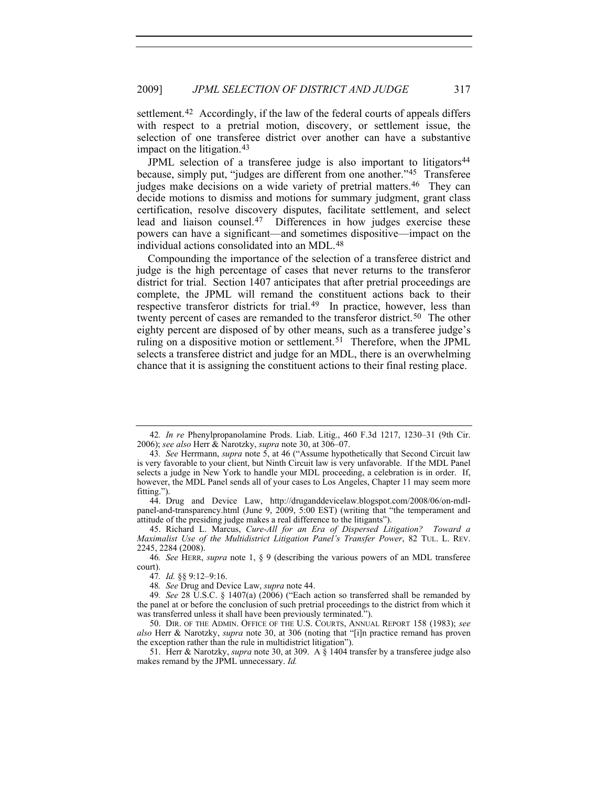settlement.<sup>[42](#page-6-0)</sup> Accordingly, if the law of the federal courts of appeals differs with respect to a pretrial motion, discovery, or settlement issue, the selection of one transferee district over another can have a substantive impact on the litigation.<sup>[43](#page-6-1)</sup>

JPML selection of a transferee judge is also important to litigators<sup>[44](#page-6-2)</sup> because, simply put, "judges are different from one another.["45](#page-6-3) Transferee judges make decisions on a wide variety of pretrial matters.<sup>[46](#page-6-4)</sup> They can decide motions to dismiss and motions for summary judgment, grant class certification, resolve discovery disputes, facilitate settlement, and select lead and liaison counsel.[47](#page-6-5) Differences in how judges exercise these powers can have a significant—and sometimes dispositive—impact on the individual actions consolidated into an MDL.[48](#page-6-6)

Compounding the importance of the selection of a transferee district and judge is the high percentage of cases that never returns to the transferor district for trial. Section 1407 anticipates that after pretrial proceedings are complete, the JPML will remand the constituent actions back to their respective transferor districts for trial.<sup>[49](#page-6-7)</sup> In practice, however, less than twenty percent of cases are remanded to the transferor district.<sup>[50](#page-6-8)</sup> The other eighty percent are disposed of by other means, such as a transferee judge's ruling on a dispositive motion or settlement.[51](#page-6-9) Therefore, when the JPML selects a transferee district and judge for an MDL, there is an overwhelming chance that it is assigning the constituent actions to their final resting place.

<span id="page-6-2"></span> 44. Drug and Device Law, http://druganddevicelaw.blogspot.com/2008/06/on-mdlpanel-and-transparency.html (June 9, 2009, 5:00 EST) (writing that "the temperament and attitude of the presiding judge makes a real difference to the litigants").

<span id="page-6-3"></span> 45. Richard L. Marcus, *Cure-All for an Era of Dispersed Litigation? Toward a Maximalist Use of the Multidistrict Litigation Panel's Transfer Power*, 82 TUL. L. REV. 2245, 2284 (2008).

<span id="page-6-5"></span><span id="page-6-4"></span>46*. See* HERR, *supra* note 1, § 9 (describing the various powers of an MDL transferee court).

47*. Id.* §§ 9:12–9:16.

48*. See* Drug and Device Law, *supra* note 44.

<span id="page-6-7"></span><span id="page-6-6"></span>49*. See* 28 U.S.C. § 1407(a) (2006) ("Each action so transferred shall be remanded by the panel at or before the conclusion of such pretrial proceedings to the district from which it was transferred unless it shall have been previously terminated.").

<span id="page-6-8"></span> 50. DIR. OF THE ADMIN. OFFICE OF THE U.S. COURTS, ANNUAL REPORT 158 (1983); *see also* Herr & Narotzky, *supra* note 30, at 306 (noting that "[i]n practice remand has proven the exception rather than the rule in multidistrict litigation").

<span id="page-6-9"></span> 51. Herr & Narotzky, *supra* note 30, at 309. A § 1404 transfer by a transferee judge also makes remand by the JPML unnecessary. *Id.*

<span id="page-6-0"></span><sup>42</sup>*. In re* Phenylpropanolamine Prods. Liab. Litig., 460 F.3d 1217, 1230–31 (9th Cir. 2006); *see also* Herr & Narotzky, *supra* note 30, at 306–07.

<span id="page-6-1"></span><sup>43</sup>*. See* Herrmann, *supra* note 5, at 46 ("Assume hypothetically that Second Circuit law is very favorable to your client, but Ninth Circuit law is very unfavorable. If the MDL Panel selects a judge in New York to handle your MDL proceeding, a celebration is in order. If, however, the MDL Panel sends all of your cases to Los Angeles, Chapter 11 may seem more fitting.").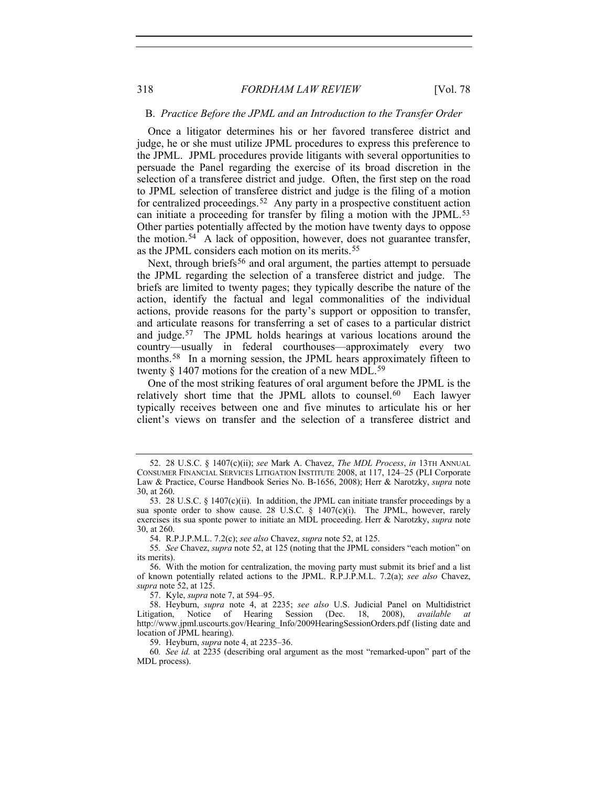#### B. *Practice Before the JPML and an Introduction to the Transfer Order*

<span id="page-7-0"></span>Once a litigator determines his or her favored transferee district and judge, he or she must utilize JPML procedures to express this preference to the JPML. JPML procedures provide litigants with several opportunities to persuade the Panel regarding the exercise of its broad discretion in the selection of a transferee district and judge. Often, the first step on the road to JPML selection of transferee district and judge is the filing of a motion for centralized proceedings.<sup>[52](#page-7-1)</sup> Any party in a prospective constituent action can initiate a proceeding for transfer by filing a motion with the JPML.<sup>[53](#page-7-2)</sup> Other parties potentially affected by the motion have twenty days to oppose the motion.[54](#page-7-3) A lack of opposition, however, does not guarantee transfer, as the JPML considers each motion on its merits.<sup>[55](#page-7-4)</sup>

Next, through briefs<sup>[56](#page-7-5)</sup> and oral argument, the parties attempt to persuade the JPML regarding the selection of a transferee district and judge. The briefs are limited to twenty pages; they typically describe the nature of the action, identify the factual and legal commonalities of the individual actions, provide reasons for the party's support or opposition to transfer, and articulate reasons for transferring a set of cases to a particular district and judge.[57](#page-7-6) The JPML holds hearings at various locations around the country—usually in federal courthouses—approximately every two months.<sup>[58](#page-7-7)</sup> In a morning session, the JPML hears approximately fifteen to twenty § 1407 motions for the creation of a new MDL.<sup>[59](#page-7-8)</sup>

One of the most striking features of oral argument before the JPML is the relatively short time that the JPML allots to counsel.<sup>[60](#page-7-9)</sup> Each lawyer typically receives between one and five minutes to articulate his or her client's views on transfer and the selection of a transferee district and

57. Kyle, *supra* note 7, at 594–95.

<span id="page-7-1"></span> <sup>52. 28</sup> U.S.C. § 1407(c)(ii); *see* Mark A. Chavez, *The MDL Process*, *in* 13TH ANNUAL CONSUMER FINANCIAL SERVICES LITIGATION INSTITUTE 2008, at 117, 124–25 (PLI Corporate Law & Practice, Course Handbook Series No. B-1656, 2008); Herr & Narotzky, *supra* note 30, at 260.

<span id="page-7-2"></span> <sup>53. 28</sup> U.S.C. § 1407(c)(ii). In addition, the JPML can initiate transfer proceedings by a sua sponte order to show cause. 28 U.S.C. § 1407(c)(i). The JPML, however, rarely exercises its sua sponte power to initiate an MDL proceeding. Herr & Narotzky, *supra* note 30, at 260.

 <sup>54.</sup> R.P.J.P.M.L. 7.2(c); *see also* Chavez, *supra* note 52, at 125.

<span id="page-7-4"></span><span id="page-7-3"></span><sup>55</sup>*. See* Chavez, *supra* note 52, at 125 (noting that the JPML considers "each motion" on its merits).

<span id="page-7-5"></span> <sup>56.</sup> With the motion for centralization, the moving party must submit its brief and a list of known potentially related actions to the JPML. R.P.J.P.M.L. 7.2(a); *see also* Chavez, *supra* note 52, at 125.

<span id="page-7-7"></span><span id="page-7-6"></span> <sup>58.</sup> Heyburn, *supra* note 4, at 2235; *see also* U.S. Judicial Panel on Multidistrict Litigation, Notice of Hearing Session (Dec. 18, 2008), *available at* http://www.jpml.uscourts.gov/Hearing\_Info/2009HearingSessionOrders.pdf (listing date and location of JPML hearing).

 <sup>59.</sup> Heyburn, *supra* note 4, at 2235–36.

<span id="page-7-9"></span><span id="page-7-8"></span><sup>60</sup>*. See id.* at 2235 (describing oral argument as the most "remarked-upon" part of the MDL process).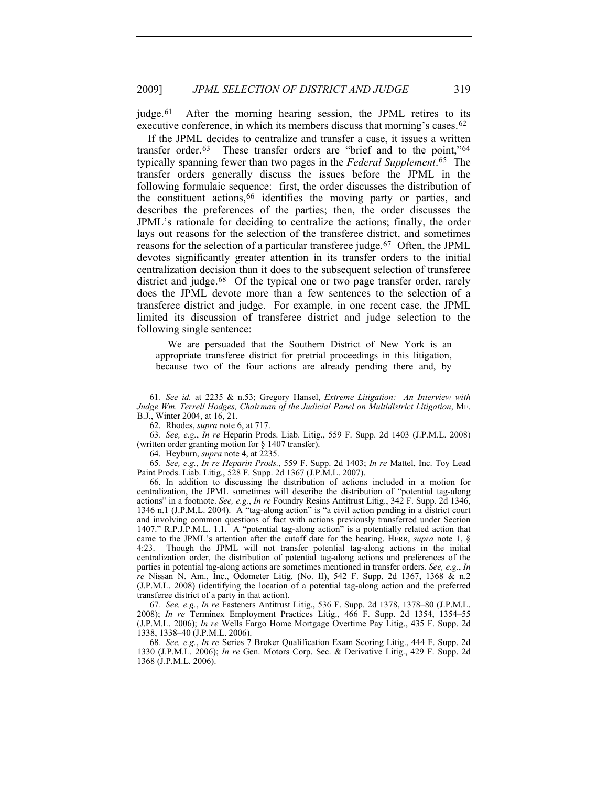judge.<sup>[61](#page-8-0)</sup> After the morning hearing session, the JPML retires to its executive conference, in which its members discuss that morning's cases.<sup>[62](#page-8-1)</sup>

If the JPML decides to centralize and transfer a case, it issues a written transfer order.[63](#page-8-2) These transfer orders are "brief and to the point,"[64](#page-8-3) typically spanning fewer than two pages in the *Federal Supplement*.[65](#page-8-4) The transfer orders generally discuss the issues before the JPML in the following formulaic sequence: first, the order discusses the distribution of the constituent actions,[66](#page-8-5) identifies the moving party or parties, and describes the preferences of the parties; then, the order discusses the JPML's rationale for deciding to centralize the actions; finally, the order lays out reasons for the selection of the transferee district, and sometimes reasons for the selection of a particular transferee judge.[67](#page-8-6) Often, the JPML devotes significantly greater attention in its transfer orders to the initial centralization decision than it does to the subsequent selection of transferee district and judge.<sup>[68](#page-8-7)</sup> Of the typical one or two page transfer order, rarely does the JPML devote more than a few sentences to the selection of a transferee district and judge. For example, in one recent case, the JPML limited its discussion of transferee district and judge selection to the following single sentence:

 We are persuaded that the Southern District of New York is an appropriate transferee district for pretrial proceedings in this litigation, because two of the four actions are already pending there and, by

<span id="page-8-2"></span><span id="page-8-1"></span>63*. See, e.g.*, *In re* Heparin Prods. Liab. Litig., 559 F. Supp. 2d 1403 (J.P.M.L. 2008) (written order granting motion for § 1407 transfer).

64. Heyburn, *supra* note 4, at 2235.

<span id="page-8-4"></span><span id="page-8-3"></span>65*. See, e.g.*, *In re Heparin Prods.*, 559 F. Supp. 2d 1403; *In re* Mattel, Inc. Toy Lead Paint Prods. Liab. Litig., 528 F. Supp. 2d 1367 (J.P.M.L. 2007).

<span id="page-8-5"></span> 66. In addition to discussing the distribution of actions included in a motion for centralization, the JPML sometimes will describe the distribution of "potential tag-along actions" in a footnote. *See, e.g.*, *In re* Foundry Resins Antitrust Litig., 342 F. Supp. 2d 1346, 1346 n.1 (J.P.M.L. 2004). A "tag-along action" is "a civil action pending in a district court and involving common questions of fact with actions previously transferred under Section 1407." R.P.J.P.M.L. 1.1. A "potential tag-along action" is a potentially related action that came to the JPML's attention after the cutoff date for the hearing. HERR, *supra* note 1, § 4:23. Though the JPML will not transfer potential tag-along actions in the initial centralization order, the distribution of potential tag-along actions and preferences of the parties in potential tag-along actions are sometimes mentioned in transfer orders. *See, e.g.*, *In re* Nissan N. Am., Inc., Odometer Litig. (No. II), 542 F. Supp. 2d 1367, 1368 & n.2 (J.P.M.L. 2008) (identifying the location of a potential tag-along action and the preferred transferee district of a party in that action).

<span id="page-8-6"></span>67*. See, e.g.*, *In re* Fasteners Antitrust Litig., 536 F. Supp. 2d 1378, 1378–80 (J.P.M.L. 2008); *In re* Terminex Employment Practices Litig., 466 F. Supp. 2d 1354, 1354–55 (J.P.M.L. 2006); *In re* Wells Fargo Home Mortgage Overtime Pay Litig., 435 F. Supp. 2d 1338, 1338–40 (J.P.M.L. 2006).

<span id="page-8-7"></span>68*. See, e.g.*, *In re* Series 7 Broker Qualification Exam Scoring Litig., 444 F. Supp. 2d 1330 (J.P.M.L. 2006); *In re* Gen. Motors Corp. Sec. & Derivative Litig., 429 F. Supp. 2d 1368 (J.P.M.L. 2006).

<span id="page-8-0"></span><sup>61</sup>*. See id.* at 2235 & n.53; Gregory Hansel, *Extreme Litigation: An Interview with Judge Wm. Terrell Hodges, Chairman of the Judicial Panel on Multidistrict Litigation*, ME. B.J., Winter 2004, at 16, 21.

 <sup>62.</sup> Rhodes, *supra* note 6, at 717.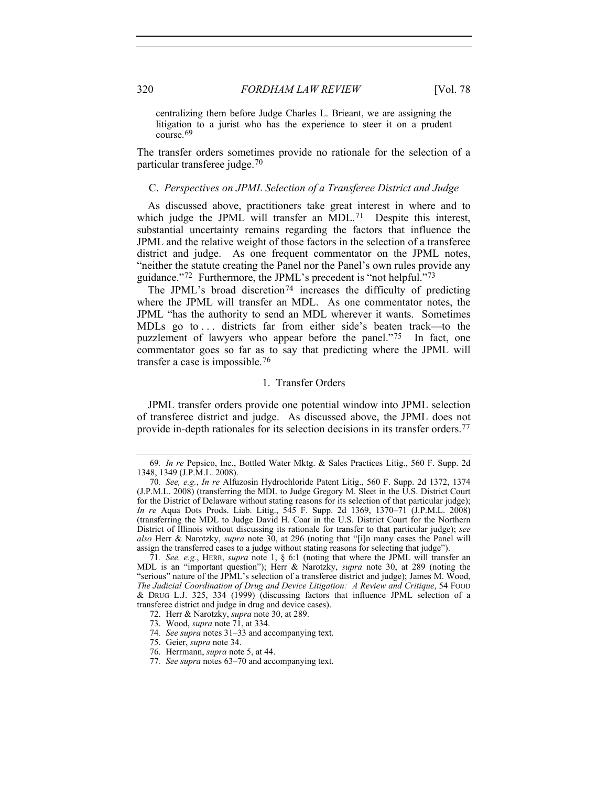centralizing them before Judge Charles L. Brieant, we are assigning the litigation to a jurist who has the experience to steer it on a prudent course.[69](#page-9-2)

The transfer orders sometimes provide no rationale for the selection of a particular transferee judge.[70](#page-9-3)

### C. *Perspectives on JPML Selection of a Transferee District and Judge*

<span id="page-9-0"></span>As discussed above, practitioners take great interest in where and to which judge the JPML will transfer an MDL.<sup>[71](#page-9-4)</sup> Despite this interest, substantial uncertainty remains regarding the factors that influence the JPML and the relative weight of those factors in the selection of a transferee district and judge. As one frequent commentator on the JPML notes, "neither the statute creating the Panel nor the Panel's own rules provide any guidance."[72](#page-9-5) Furthermore, the JPML's precedent is "not helpful."[73](#page-9-6)

The JPML's broad discretion<sup>[74](#page-9-7)</sup> increases the difficulty of predicting where the JPML will transfer an MDL. As one commentator notes, the JPML "has the authority to send an MDL wherever it wants. Sometimes MDLs go to ... districts far from either side's beaten track—to the puzzlement of lawyers who appear before the panel."[75](#page-9-8) In fact, one commentator goes so far as to say that predicting where the JPML will transfer a case is impossible.[76](#page-9-9)

# 1. Transfer Orders

<span id="page-9-1"></span>JPML transfer orders provide one potential window into JPML selection of transferee district and judge. As discussed above, the JPML does not provide in-depth rationales for its selection decisions in its transfer orders.[77](#page-9-10)

<span id="page-9-8"></span>75. Geier, *supra* note 34.

<sup>69</sup>*. In re* Pepsico, Inc., Bottled Water Mktg. & Sales Practices Litig., 560 F. Supp. 2d 1348, 1349 (J.P.M.L. 2008).

<span id="page-9-3"></span><span id="page-9-2"></span><sup>70</sup>*. See, e.g.*, *In re* Alfuzosin Hydrochloride Patent Litig., 560 F. Supp. 2d 1372, 1374 (J.P.M.L. 2008) (transferring the MDL to Judge Gregory M. Sleet in the U.S. District Court for the District of Delaware without stating reasons for its selection of that particular judge); *In re* Aqua Dots Prods. Liab. Litig., 545 F. Supp. 2d 1369, 1370–71 (J.P.M.L. 2008) (transferring the MDL to Judge David H. Coar in the U.S. District Court for the Northern District of Illinois without discussing its rationale for transfer to that particular judge); *see also* Herr & Narotzky, *supra* note 30, at 296 (noting that "[i]n many cases the Panel will assign the transferred cases to a judge without stating reasons for selecting that judge").

<span id="page-9-5"></span><span id="page-9-4"></span><sup>71</sup>*. See, e.g.*, HERR, *supra* note 1, § 6:1 (noting that where the JPML will transfer an MDL is an "important question"); Herr & Narotzky, *supra* note 30, at 289 (noting the "serious" nature of the JPML's selection of a transferee district and judge); James M. Wood, *The Judicial Coordination of Drug and Device Litigation: A Review and Critique*, 54 FOOD & DRUG L.J. 325, 334 (1999) (discussing factors that influence JPML selection of a transferee district and judge in drug and device cases).

 <sup>72.</sup> Herr & Narotzky, *supra* note 30, at 289.

<span id="page-9-6"></span> <sup>73.</sup> Wood, *supra* note 71, at 334.

<span id="page-9-7"></span><sup>74</sup>*. See supra* notes 31–33 and accompanying text.

<span id="page-9-9"></span> <sup>76.</sup> Herrmann, *supra* note 5, at 44.

<span id="page-9-10"></span><sup>77</sup>*. See supra* notes 63–70 and accompanying text.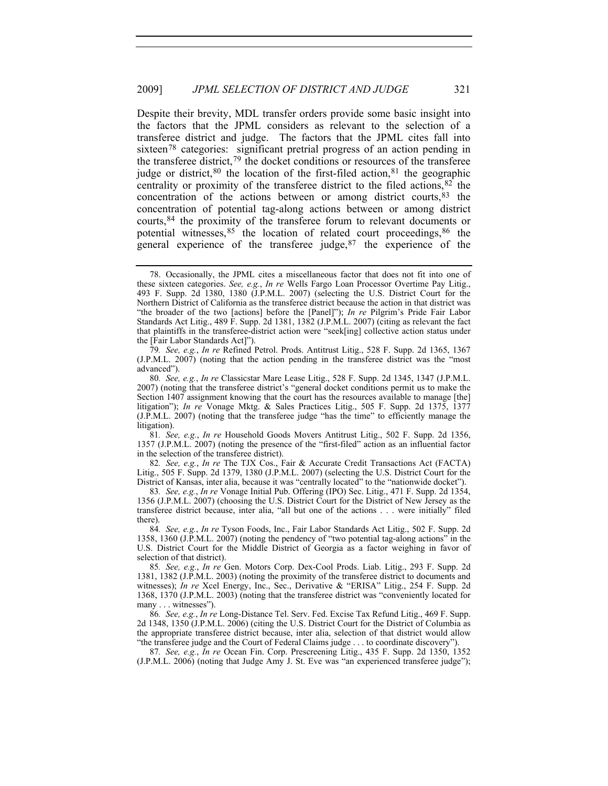Despite their brevity, MDL transfer orders provide some basic insight into the factors that the JPML considers as relevant to the selection of a transferee district and judge. The factors that the JPML cites fall into sixteen<sup>[78](#page-10-0)</sup> categories: significant pretrial progress of an action pending in the transferee district,  $79$  the docket conditions or resources of the transferee judge or district,  $80$  the location of the first-filed action,  $81$  the geographic centrality or proximity of the transferee district to the filed actions,  $82$  the concentration of the actions between or among district courts,[83](#page-10-5) the concentration of potential tag-along actions between or among district courts,[84](#page-10-6) the proximity of the transferee forum to relevant documents or potential witnesses,  $85$  the location of related court proceedings,  $86$  the general experience of the transferee judge,  $87$  the experience of the

<span id="page-10-1"></span>79*. See, e.g.*, *In re* Refined Petrol. Prods. Antitrust Litig., 528 F. Supp. 2d 1365, 1367 (J.P.M.L. 2007) (noting that the action pending in the transferee district was the "most advanced").

<span id="page-10-3"></span>81*. See, e.g.*, *In re* Household Goods Movers Antitrust Litig., 502 F. Supp. 2d 1356, 1357 (J.P.M.L. 2007) (noting the presence of the "first-filed" action as an influential factor in the selection of the transferee district).

<span id="page-10-4"></span>82*. See, e.g.*, *In re* The TJX Cos., Fair & Accurate Credit Transactions Act (FACTA) Litig., 505 F. Supp. 2d 1379, 1380 (J.P.M.L. 2007) (selecting the U.S. District Court for the District of Kansas, inter alia, because it was "centrally located" to the "nationwide docket").

<span id="page-10-5"></span>83*. See, e.g.*, *In re* Vonage Initial Pub. Offering (IPO) Sec. Litig., 471 F. Supp. 2d 1354, 1356 (J.P.M.L. 2007) (choosing the U.S. District Court for the District of New Jersey as the transferee district because, inter alia, "all but one of the actions . . . were initially" filed there).

<span id="page-10-6"></span>84*. See, e.g.*, *In re* Tyson Foods, Inc., Fair Labor Standards Act Litig., 502 F. Supp. 2d 1358, 1360 (J.P.M.L. 2007) (noting the pendency of "two potential tag-along actions" in the U.S. District Court for the Middle District of Georgia as a factor weighing in favor of selection of that district).

<span id="page-10-7"></span>85*. See, e.g.*, *In re* Gen. Motors Corp. Dex-Cool Prods. Liab. Litig., 293 F. Supp. 2d 1381, 1382 (J.P.M.L. 2003) (noting the proximity of the transferee district to documents and witnesses); *In re* Xcel Energy, Inc., Sec., Derivative & "ERISA" Litig., 254 F. Supp. 2d 1368, 1370 (J.P.M.L. 2003) (noting that the transferee district was "conveniently located for many . . . witnesses").

<span id="page-10-8"></span>86*. See, e.g.*, *In re* Long-Distance Tel. Serv. Fed. Excise Tax Refund Litig., 469 F. Supp. 2d 1348, 1350 (J.P.M.L. 2006) (citing the U.S. District Court for the District of Columbia as the appropriate transferee district because, inter alia, selection of that district would allow "the transferee judge and the Court of Federal Claims judge . . . to coordinate discovery").

<span id="page-10-9"></span>87*. See, e.g.*, *In re* Ocean Fin. Corp. Prescreening Litig., 435 F. Supp. 2d 1350, 1352 (J.P.M.L. 2006) (noting that Judge Amy J. St. Eve was "an experienced transferee judge");

<span id="page-10-0"></span> <sup>78.</sup> Occasionally, the JPML cites a miscellaneous factor that does not fit into one of these sixteen categories. *See, e.g.*, *In re* Wells Fargo Loan Processor Overtime Pay Litig., 493 F. Supp. 2d 1380, 1380 (J.P.M.L. 2007) (selecting the U.S. District Court for the Northern District of California as the transferee district because the action in that district was "the broader of the two [actions] before the [Panel]"); *In re* Pilgrim's Pride Fair Labor Standards Act Litig., 489 F. Supp. 2d 1381, 1382 (J.P.M.L. 2007) (citing as relevant the fact that plaintiffs in the transferee-district action were "seek[ing] collective action status under the [Fair Labor Standards Act]").

<span id="page-10-2"></span><sup>80</sup>*. See, e.g.*, *In re* Classicstar Mare Lease Litig., 528 F. Supp. 2d 1345, 1347 (J.P.M.L. 2007) (noting that the transferee district's "general docket conditions permit us to make the Section 1407 assignment knowing that the court has the resources available to manage [the] litigation"); *In re* Vonage Mktg. & Sales Practices Litig., 505 F. Supp. 2d 1375, 1377 (J.P.M.L. 2007) (noting that the transferee judge "has the time" to efficiently manage the litigation).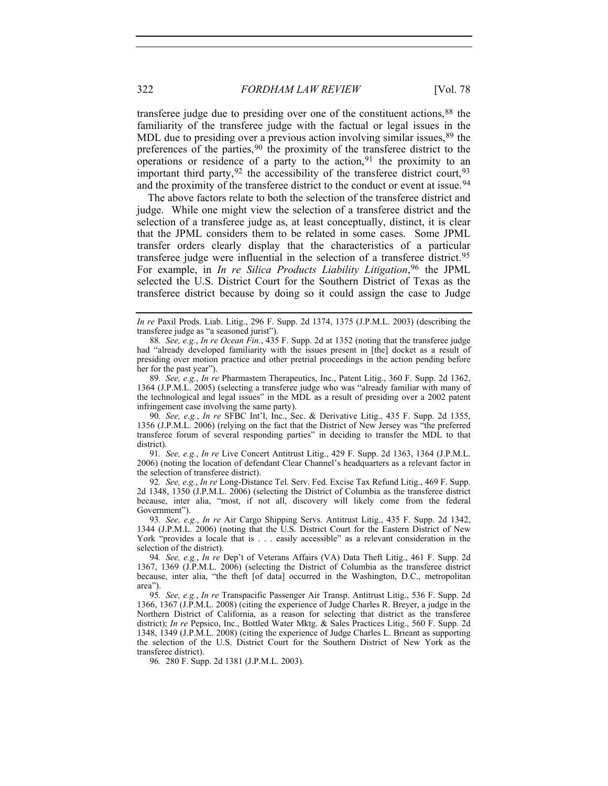and the proximity of the transferee district to the conduct or event at issue.<sup>94</sup> transferee judge due to presiding over one of the constituent actions,[88](#page-11-0) the familiarity of the transferee judge with the factual or legal issues in the MDL due to presiding over a previous action involving similar issues, <sup>[89](#page-11-1)</sup> the preferences of the parties,  $90$  the proximity of the transferee district to the operations or residence of a party to the action, <sup>[91](#page-11-3)</sup> the proximity to an important third party,  $92$  the accessibility of the transferee district court,  $93$ 

The above factors relate to both the selection of the transferee district and judge. While one might view the selection of a transferee district and the selection of a transferee judge as, at least conceptually, distinct, it is clear that the JPML considers them to be related in some cases. Some JPML transfer orders clearly display that the characteristics of a particular transferee judge were influential in the selection of a transferee district.[95](#page-11-6) For example, in *In re Silica Products Liability Litigation*,<sup>[96](#page-11-7)</sup> the JPML selected the U.S. District Court for the Southern District of Texas as the transferee district because by doing so it could assign the case to Judge

<span id="page-11-1"></span>89*. See, e.g.*, *In re* Pharmastem Therapeutics, Inc., Patent Litig., 360 F. Supp. 2d 1362, 1364 (J.P.M.L. 2005) (selecting a transferee judge who was "already familiar with many of the technological and legal issues" in the MDL as a result of presiding over a 2002 patent infringement case involving the same party).

<span id="page-11-2"></span>90*. See, e.g.*, *In re* SFBC Int'l, Inc., Sec. & Derivative Litig., 435 F. Supp. 2d 1355, 1356 (J.P.M.L. 2006) (relying on the fact that the District of New Jersey was "the preferred transferee forum of several responding parties" in deciding to transfer the MDL to that district).

<span id="page-11-3"></span>91*. See, e.g.*, *In re* Live Concert Antitrust Litig., 429 F. Supp. 2d 1363, 1364 (J.P.M.L. 2006) (noting the location of defendant Clear Channel's headquarters as a relevant factor in the selection of transferee district).

<span id="page-11-4"></span>92*. See, e.g.*, *In re* Long-Distance Tel. Serv. Fed. Excise Tax Refund Litig., 469 F. Supp. 2d 1348, 1350 (J.P.M.L. 2006) (selecting the District of Columbia as the transferee district because, inter alia, "most, if not all, discovery will likely come from the federal Government").

<span id="page-11-5"></span>93*. See, e.g.*, *In re* Air Cargo Shipping Servs. Antitrust Litig., 435 F. Supp. 2d 1342, 1344 (J.P.M.L. 2006) (noting that the U.S. District Court for the Eastern District of New York "provides a locale that is . . . easily accessible" as a relevant consideration in the selection of the district).

94*. See, e.g.*, *In re* Dep't of Veterans Affairs (VA) Data Theft Litig., 461 F. Supp. 2d 1367, 1369 (J.P.M.L. 2006) (selecting the District of Columbia as the transferee district because, inter alia, "the theft [of data] occurred in the Washington, D.C., metropolitan area").

<span id="page-11-6"></span>95*. See, e.g.*, *In re* Transpacific Passenger Air Transp. Antitrust Litig., 536 F. Supp. 2d 1366, 1367 (J.P.M.L. 2008) (citing the experience of Judge Charles R. Breyer, a judge in the Northern District of California, as a reason for selecting that district as the transferee district); *In re* Pepsico, Inc., Bottled Water Mktg. & Sales Practices Litig., 560 F. Supp. 2d 1348, 1349 (J.P.M.L. 2008) (citing the experience of Judge Charles L. Brieant as supporting the selection of the U.S. District Court for the Southern District of New York as the transferee district).

<span id="page-11-7"></span>96*.* 280 F. Supp. 2d 1381 (J.P.M.L. 2003).

*In re* Paxil Prods. Liab. Litig., 296 F. Supp. 2d 1374, 1375 (J.P.M.L. 2003) (describing the transferee judge as "a seasoned jurist").

<span id="page-11-0"></span><sup>88</sup>*. See, e.g.*, *In re Ocean Fin.*, 435 F. Supp. 2d at 1352 (noting that the transferee judge had "already developed familiarity with the issues present in [the] docket as a result of presiding over motion practice and other pretrial proceedings in the action pending before her for the past year").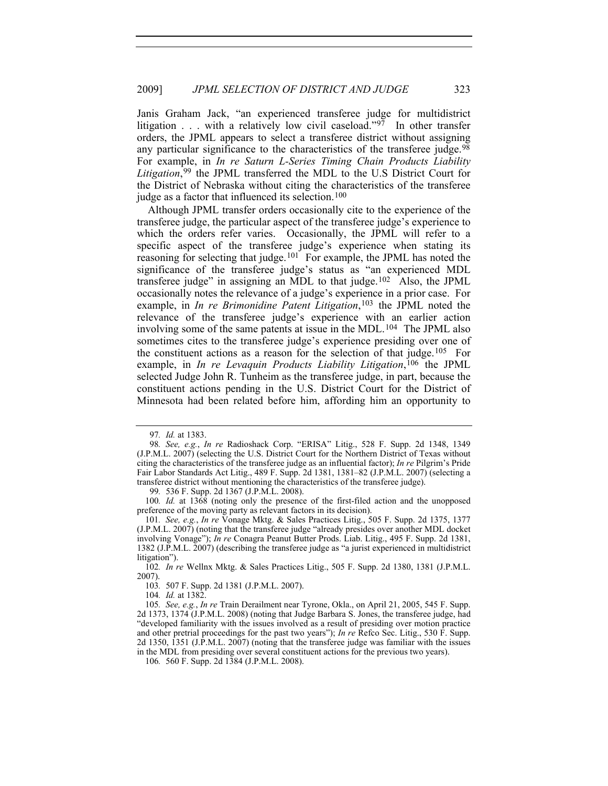Janis Graham Jack, "an experienced transferee judge for multidistrict litigation  $\ldots$  with a relatively low civil caseload."<sup>[97](#page-12-0)</sup> In other transfer orders, the JPML appears to select a transferee district without assigning any particular significance to the characteristics of the transferee judge.<sup>[98](#page-12-1)</sup> For example, in *In re Saturn L-Series Timing Chain Products Liability*  Litigation,<sup>[99](#page-12-2)</sup> the JPML transferred the MDL to the U.S District Court for the District of Nebraska without citing the characteristics of the transferee judge as a factor that influenced its selection.<sup>[100](#page-12-3)</sup>

Although JPML transfer orders occasionally cite to the experience of the transferee judge, the particular aspect of the transferee judge's experience to which the orders refer varies. Occasionally, the JPML will refer to a specific aspect of the transferee judge's experience when stating its reasoning for selecting that judge.<sup>[101](#page-12-4)</sup> For example, the JPML has noted the significance of the transferee judge's status as "an experienced MDL transferee judge" in assigning an MDL to that judge.<sup>[102](#page-12-5)</sup> Also, the JPML occasionally notes the relevance of a judge's experience in a prior case. For example, in *In re Brimonidine Patent Litigation*,<sup>[103](#page-12-6)</sup> the JPML noted the relevance of the transferee judge's experience with an earlier action involving some of the same patents at issue in the MDL.<sup>[104](#page-12-7)</sup> The JPML also sometimes cites to the transferee judge's experience presiding over one of the constituent actions as a reason for the selection of that judge.<sup>[105](#page-12-8)</sup> For example, in *In re Levaquin Products Liability Litigation*,[106](#page-12-9) the JPML selected Judge John R. Tunheim as the transferee judge, in part, because the constituent actions pending in the U.S. District Court for the District of Minnesota had been related before him, affording him an opportunity to

99*.* 536 F. Supp. 2d 1367 (J.P.M.L. 2008).

104*. Id.* at 1382.

<sup>97</sup>*. Id.* at 1383.

<span id="page-12-1"></span><span id="page-12-0"></span><sup>98</sup>*. See, e.g.*, *In re* Radioshack Corp. "ERISA" Litig., 528 F. Supp. 2d 1348, 1349 (J.P.M.L. 2007) (selecting the U.S. District Court for the Northern District of Texas without citing the characteristics of the transferee judge as an influential factor); *In re* Pilgrim's Pride Fair Labor Standards Act Litig., 489 F. Supp. 2d 1381, 1381–82 (J.P.M.L. 2007) (selecting a transferee district without mentioning the characteristics of the transferee judge).

<span id="page-12-3"></span><span id="page-12-2"></span><sup>100</sup>*. Id.* at 1368 (noting only the presence of the first-filed action and the unopposed preference of the moving party as relevant factors in its decision).

<span id="page-12-4"></span><sup>101</sup>*. See, e.g.*, *In re* Vonage Mktg. & Sales Practices Litig., 505 F. Supp. 2d 1375, 1377 (J.P.M.L. 2007) (noting that the transferee judge "already presides over another MDL docket involving Vonage"); *In re* Conagra Peanut Butter Prods. Liab. Litig., 495 F. Supp. 2d 1381, 1382 (J.P.M.L. 2007) (describing the transferee judge as "a jurist experienced in multidistrict litigation").

<span id="page-12-5"></span><sup>102</sup>*. In re* Wellnx Mktg. & Sales Practices Litig., 505 F. Supp. 2d 1380, 1381 (J.P.M.L. 2007).

<sup>103</sup>*.* 507 F. Supp. 2d 1381 (J.P.M.L. 2007).

<span id="page-12-8"></span><span id="page-12-7"></span><span id="page-12-6"></span><sup>105</sup>*. See, e.g.*, *In re* Train Derailment near Tyrone, Okla., on April 21, 2005, 545 F. Supp. 2d 1373, 1374 (J.P.M.L. 2008) (noting that Judge Barbara S. Jones, the transferee judge, had "developed familiarity with the issues involved as a result of presiding over motion practice and other pretrial proceedings for the past two years"); *In re* Refco Sec. Litig., 530 F. Supp. 2d 1350, 1351 (J.P.M.L. 2007) (noting that the transferee judge was familiar with the issues in the MDL from presiding over several constituent actions for the previous two years).

<span id="page-12-9"></span><sup>106</sup>*.* 560 F. Supp. 2d 1384 (J.P.M.L. 2008).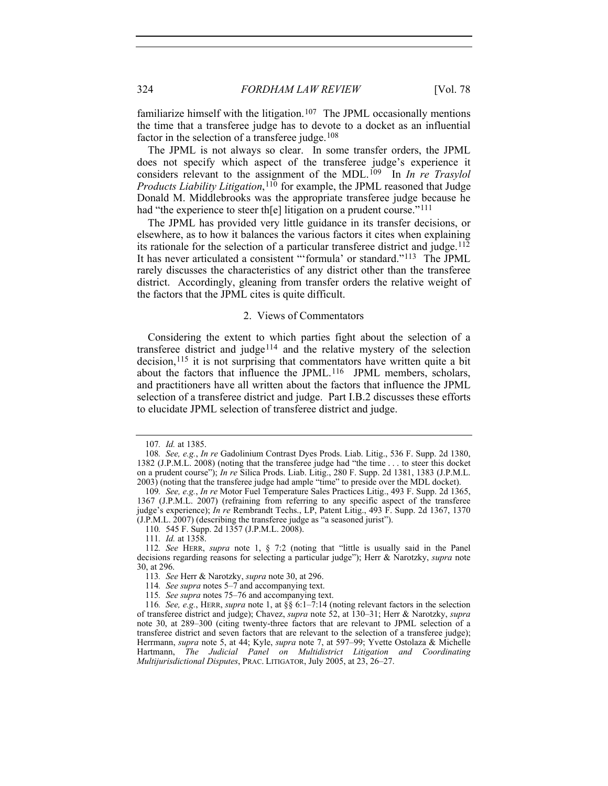familiarize himself with the litigation.<sup>107</sup> The JPML occasionally mentions the time that a transferee judge has to devote to a docket as an influential factor in the selection of a transferee judge.<sup>[108](#page-13-2)</sup>

The JPML is not always so clear. In some transfer orders, the JPML does not specify which aspect of the transferee judge's experience it considers relevant to the assignment of the MDL.<sup>[109](#page-13-3)</sup> In *In re Trasylol Products Liability Litigation*,<sup>[110](#page-13-4)</sup> for example, the JPML reasoned that Judge Donald M. Middlebrooks was the appropriate transferee judge because he had "the experience to steer th[e] litigation on a prudent course."<sup>[111](#page-13-5)</sup>

The JPML has provided very little guidance in its transfer decisions, or elsewhere, as to how it balances the various factors it cites when explaining its rationale for the selection of a particular transferee district and judge.<sup>[112](#page-13-6)</sup> It has never articulated a consistent "'formula' or standard."[113](#page-13-7) The JPML rarely discusses the characteristics of any district other than the transferee district. Accordingly, gleaning from transfer orders the relative weight of the factors that the JPML cites is quite difficult.

# 2. Views of Commentators

<span id="page-13-0"></span>Considering the extent to which parties fight about the selection of a transferee district and judge[114](#page-13-8) and the relative mystery of the selection decision,<sup>115</sup> it is not surprising that commentators have written quite a bit about the factors that influence the JPML.[116](#page-13-10) JPML members, scholars, and practitioners have all written about the factors that influence the JPML selection of a transferee district and judge. Part I.B.2 discusses these efforts to elucidate JPML selection of transferee district and judge.

<sup>107</sup>*. Id.* at 1385.

<span id="page-13-2"></span><span id="page-13-1"></span><sup>108</sup>*. See, e.g.*, *In re* Gadolinium Contrast Dyes Prods. Liab. Litig., 536 F. Supp. 2d 1380, 1382 (J.P.M.L. 2008) (noting that the transferee judge had "the time . . . to steer this docket on a prudent course"); *In re* Silica Prods. Liab. Litig., 280 F. Supp. 2d 1381, 1383 (J.P.M.L. 2003) (noting that the transferee judge had ample "time" to preside over the MDL docket).

<span id="page-13-3"></span><sup>109</sup>*. See, e.g.*, *In re* Motor Fuel Temperature Sales Practices Litig., 493 F. Supp. 2d 1365, 1367 (J.P.M.L. 2007) (refraining from referring to any specific aspect of the transferee judge's experience); *In re* Rembrandt Techs., LP, Patent Litig., 493 F. Supp. 2d 1367, 1370 (J.P.M.L. 2007) (describing the transferee judge as "a seasoned jurist").

<sup>110</sup>*.* 545 F. Supp. 2d 1357 (J.P.M.L. 2008).

<sup>111</sup>*. Id.* at 1358.

<span id="page-13-7"></span><span id="page-13-6"></span><span id="page-13-5"></span><span id="page-13-4"></span><sup>112</sup>*. See* HERR, *supra* note 1, § 7:2 (noting that "little is usually said in the Panel decisions regarding reasons for selecting a particular judge"); Herr & Narotzky, *supra* note 30, at 296.

<sup>113</sup>*. See* Herr & Narotzky, *supra* note 30, at 296.

<sup>114</sup>*. See supra* notes 5–7 and accompanying text.

<sup>115</sup>*. See supra* notes 75–76 and accompanying text.

<span id="page-13-10"></span><span id="page-13-9"></span><span id="page-13-8"></span><sup>116</sup>*. See, e.g.*, HERR, *supra* note 1, at §§ 6:1–7:14 (noting relevant factors in the selection of transferee district and judge); Chavez, *supra* note 52, at 130–31; Herr & Narotzky, *supra* note 30, at 289–300 (citing twenty-three factors that are relevant to JPML selection of a transferee district and seven factors that are relevant to the selection of a transferee judge); Herrmann, *supra* note 5, at 44; Kyle, *supra* note 7, at 597–99; Yvette Ostolaza & Michelle Hartmann, *The Judicial Panel on Multidistrict Litigation and Coordinating Multijurisdictional Disputes*, PRAC. LITIGATOR, July 2005, at 23, 26–27.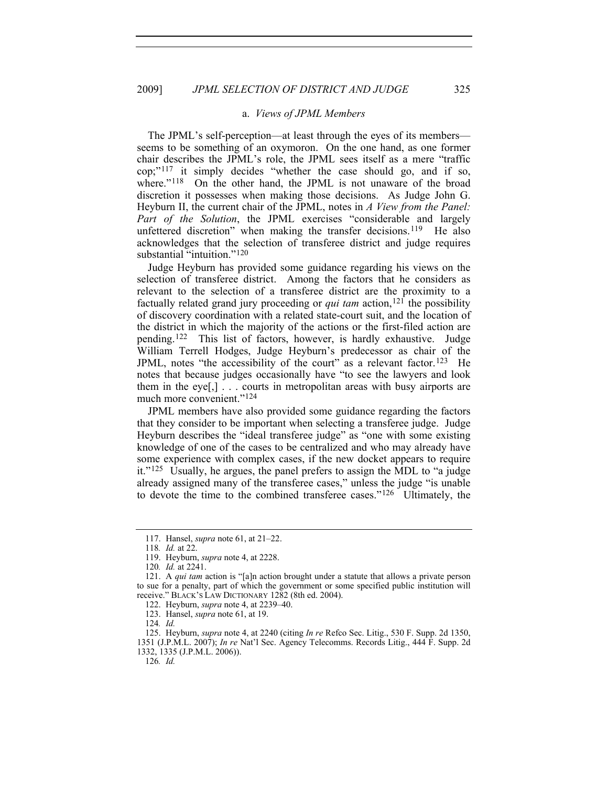### a. *Views of JPML Members*

<span id="page-14-0"></span>substantial "intuition."<sup>120</sup> The JPML's self-perception—at least through the eyes of its members seems to be something of an oxymoron. On the one hand, as one former chair describes the JPML's role, the JPML sees itself as a mere "traffic cop;"[117](#page-14-1) it simply decides "whether the case should go, and if so, where."<sup>[118](#page-14-2)</sup> On the other hand, the JPML is not unaware of the broad discretion it possesses when making those decisions. As Judge John G. Heyburn II, the current chair of the JPML, notes in *A View from the Panel: Part of the Solution*, the JPML exercises "considerable and largely unfettered discretion" when making the transfer decisions.<sup>[119](#page-14-3)</sup> He also acknowledges that the selection of transferee district and judge requires

Judge Heyburn has provided some guidance regarding his views on the selection of transferee district. Among the factors that he considers as relevant to the selection of a transferee district are the proximity to a factually related grand jury proceeding or *qui tam* action,<sup>[121](#page-14-4)</sup> the possibility of discovery coordination with a related state-court suit, and the location of the district in which the majority of the actions or the first-filed action are pending.[122](#page-14-5) This list of factors, however, is hardly exhaustive. Judge William Terrell Hodges, Judge Heyburn's predecessor as chair of the JPML, notes "the accessibility of the court" as a relevant factor.<sup>[123](#page-14-6)</sup> He notes that because judges occasionally have "to see the lawyers and look them in the eye[,] . . . courts in metropolitan areas with busy airports are much more convenient."<sup>[124](#page-14-7)</sup>

JPML members have also provided some guidance regarding the factors that they consider to be important when selecting a transferee judge. Judge Heyburn describes the "ideal transferee judge" as "one with some existing knowledge of one of the cases to be centralized and who may already have some experience with complex cases, if the new docket appears to require it."[125](#page-14-8) Usually, he argues, the panel prefers to assign the MDL to "a judge already assigned many of the transferee cases," unless the judge "is unable to devote the time to the combined transferee cases."[126](#page-14-9) Ultimately, the

126*. Id.*

 <sup>117.</sup> Hansel, *supra* note 61, at 21–22.

<sup>118</sup>*. Id.* at 22.

 <sup>119.</sup> Heyburn, *supra* note 4, at 2228.

<sup>120</sup>*. Id.* at 2241.

<span id="page-14-5"></span><span id="page-14-4"></span><span id="page-14-3"></span><span id="page-14-2"></span><span id="page-14-1"></span> <sup>121.</sup> A *qui tam* action is "[a]n action brought under a statute that allows a private person to sue for a penalty, part of which the government or some specified public institution will receive." BLACK'S LAW DICTIONARY 1282 (8th ed. 2004).

 <sup>122.</sup> Heyburn, *supra* note 4, at 2239–40.

 <sup>123.</sup> Hansel, *supra* note 61, at 19.

<sup>124</sup>*. Id.*

<span id="page-14-9"></span><span id="page-14-8"></span><span id="page-14-7"></span><span id="page-14-6"></span> <sup>125.</sup> Heyburn, *supra* note 4, at 2240 (citing *In re* Refco Sec. Litig., 530 F. Supp. 2d 1350, 1351 (J.P.M.L. 2007); *In re* Nat'l Sec. Agency Telecomms. Records Litig., 444 F. Supp. 2d 1332, 1335 (J.P.M.L. 2006)).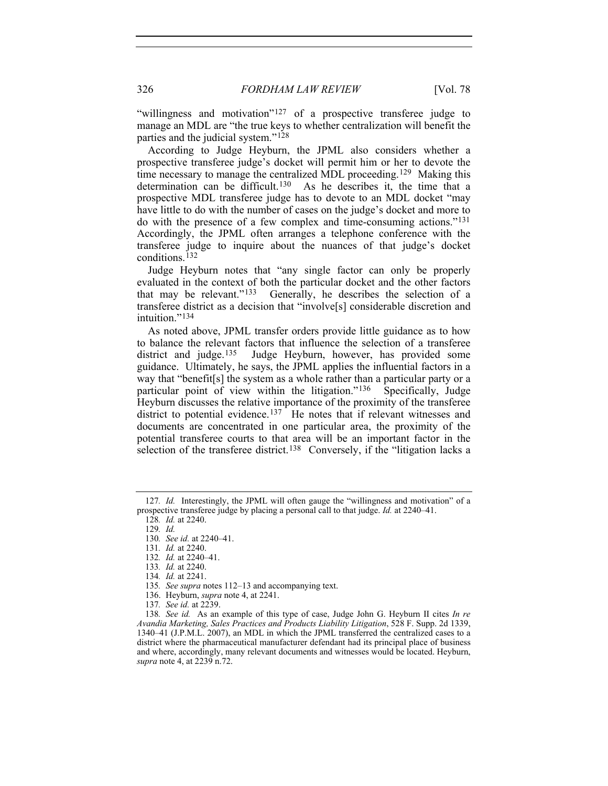parties and the judicial system."<sup>128</sup> "willingness and motivation"<sup>[127](#page-15-0)</sup> of a prospective transferee judge to manage an MDL are "the true keys to whether centralization will benefit the

According to Judge Heyburn, the JPML also considers whether a prospective transferee judge's docket will permit him or her to devote the time necessary to manage the centralized MDL proceeding.[129](#page-15-1) Making this determination can be difficult.<sup>[130](#page-15-2)</sup> As he describes it, the time that a prospective MDL transferee judge has to devote to an MDL docket "may have little to do with the number of cases on the judge's docket and more to do with the presence of a few complex and time-consuming actions."[131](#page-15-3) Accordingly, the JPML often arranges a telephone conference with the transferee judge to inquire about the nuances of that judge's docket conditions.[132](#page-15-4)

Judge Heyburn notes that "any single factor can only be properly evaluated in the context of both the particular docket and the other factors that may be relevant."<sup>133</sup> Generally, he describes the selection of a Generally, he describes the selection of a transferee district as a decision that "involve[s] considerable discretion and intuition<sup>"[134](#page-15-6)</sup>

As noted above, JPML transfer orders provide little guidance as to how to balance the relevant factors that influence the selection of a transferee district and judge.<sup>135</sup> Judge Heyburn, however, has provided some Judge Heyburn, however, has provided some guidance. Ultimately, he says, the JPML applies the influential factors in a way that "benefit[s] the system as a whole rather than a particular party or a particular point of view within the litigation."[136](#page-15-8) Specifically, Judge Heyburn discusses the relative importance of the proximity of the transferee district to potential evidence.<sup>[137](#page-15-9)</sup> He notes that if relevant witnesses and documents are concentrated in one particular area, the proximity of the potential transferee courts to that area will be an important factor in the selection of the transferee district.<sup>[138](#page-15-10)</sup> Conversely, if the "litigation lacks a

<span id="page-15-3"></span><span id="page-15-2"></span><span id="page-15-1"></span><span id="page-15-0"></span><sup>127</sup>*. Id.* Interestingly, the JPML will often gauge the "willingness and motivation" of a prospective transferee judge by placing a personal call to that judge. *Id.* at 2240–41.

<sup>128</sup>*. Id.* at 2240.

<sup>129</sup>*. Id.*

<sup>130</sup>*. See id.* at 2240–41.

<sup>131</sup>*. Id.* at 2240.

<span id="page-15-4"></span><sup>132</sup>*. Id.* at 2240–41.

<sup>133</sup>*. Id.* at 2240.

<sup>134</sup>*. Id.* at 2241.

<sup>135</sup>*. See supra* notes 112–13 and accompanying text.

 <sup>136.</sup> Heyburn, *supra* note 4, at 2241.

<sup>137</sup>*. See id.* at 2239.

<span id="page-15-10"></span><span id="page-15-9"></span><span id="page-15-8"></span><span id="page-15-7"></span><span id="page-15-6"></span><span id="page-15-5"></span><sup>138</sup>*. See id.* As an example of this type of case, Judge John G. Heyburn II cites *In re Avandia Marketing, Sales Practices and Products Liability Litigation*, 528 F. Supp. 2d 1339, 1340–41 (J.P.M.L. 2007), an MDL in which the JPML transferred the centralized cases to a district where the pharmaceutical manufacturer defendant had its principal place of business and where, accordingly, many relevant documents and witnesses would be located. Heyburn, *supra* note 4, at 2239 n.72.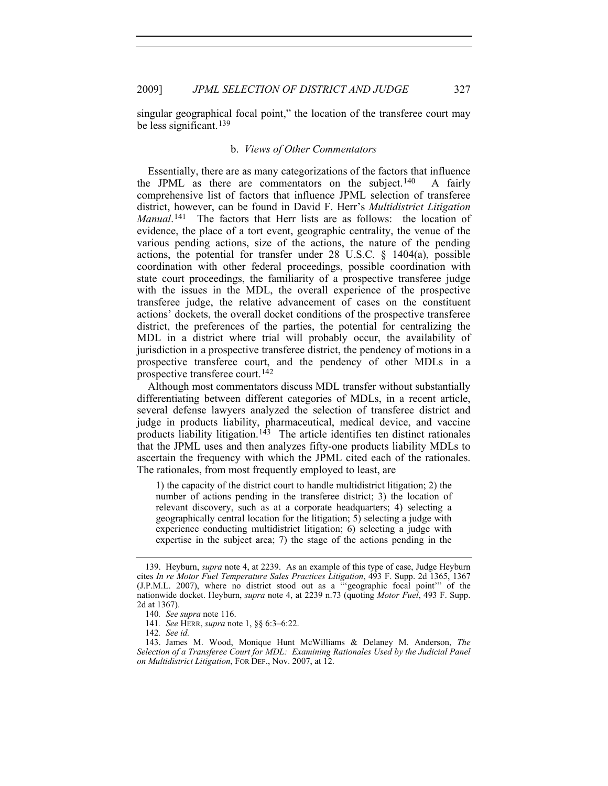singular geographical focal point," the location of the transferee court may be less significant.[139](#page-16-1)

#### b. *Views of Other Commentators*

<span id="page-16-0"></span>Essentially, there are as many categorizations of the factors that influence the JPML as there are commentators on the subject.<sup>[140](#page-16-2)</sup> A fairly comprehensive list of factors that influence JPML selection of transferee district, however, can be found in David F. Herr's *Multidistrict Litigation Manual*.<sup>[141](#page-16-3)</sup> The factors that Herr lists are as follows: the location of evidence, the place of a tort event, geographic centrality, the venue of the various pending actions, size of the actions, the nature of the pending actions, the potential for transfer under 28 U.S.C. § 1404(a), possible coordination with other federal proceedings, possible coordination with state court proceedings, the familiarity of a prospective transferee judge with the issues in the MDL, the overall experience of the prospective transferee judge, the relative advancement of cases on the constituent actions' dockets, the overall docket conditions of the prospective transferee district, the preferences of the parties, the potential for centralizing the MDL in a district where trial will probably occur, the availability of jurisdiction in a prospective transferee district, the pendency of motions in a prospective transferee court, and the pendency of other MDLs in a prospective transferee court.[142](#page-16-4)

Although most commentators discuss MDL transfer without substantially differentiating between different categories of MDLs, in a recent article, several defense lawyers analyzed the selection of transferee district and judge in products liability, pharmaceutical, medical device, and vaccine products liability litigation.<sup>[143](#page-16-5)</sup> The article identifies ten distinct rationales that the JPML uses and then analyzes fifty-one products liability MDLs to ascertain the frequency with which the JPML cited each of the rationales. The rationales, from most frequently employed to least, are

1) the capacity of the district court to handle multidistrict litigation; 2) the number of actions pending in the transferee district; 3) the location of relevant discovery, such as at a corporate headquarters; 4) selecting a geographically central location for the litigation; 5) selecting a judge with experience conducting multidistrict litigation; 6) selecting a judge with expertise in the subject area; 7) the stage of the actions pending in the

142*. See id.*

<span id="page-16-1"></span> <sup>139.</sup> Heyburn, *supra* note 4, at 2239. As an example of this type of case, Judge Heyburn cites *In re Motor Fuel Temperature Sales Practices Litigation*, 493 F. Supp. 2d 1365, 1367 (J.P.M.L. 2007), where no district stood out as a "'geographic focal point'" of the nationwide docket. Heyburn, *supra* note 4, at 2239 n.73 (quoting *Motor Fuel*, 493 F. Supp. 2d at 1367).

<sup>140</sup>*. See supra* note 116.

<sup>141</sup>*. See* HERR, *supra* note 1, §§ 6:3–6:22.

<span id="page-16-5"></span><span id="page-16-4"></span><span id="page-16-3"></span><span id="page-16-2"></span> <sup>143.</sup> James M. Wood, Monique Hunt McWilliams & Delaney M. Anderson, *The Selection of a Transferee Court for MDL: Examining Rationales Used by the Judicial Panel on Multidistrict Litigation*, FOR DEF., Nov. 2007, at 12.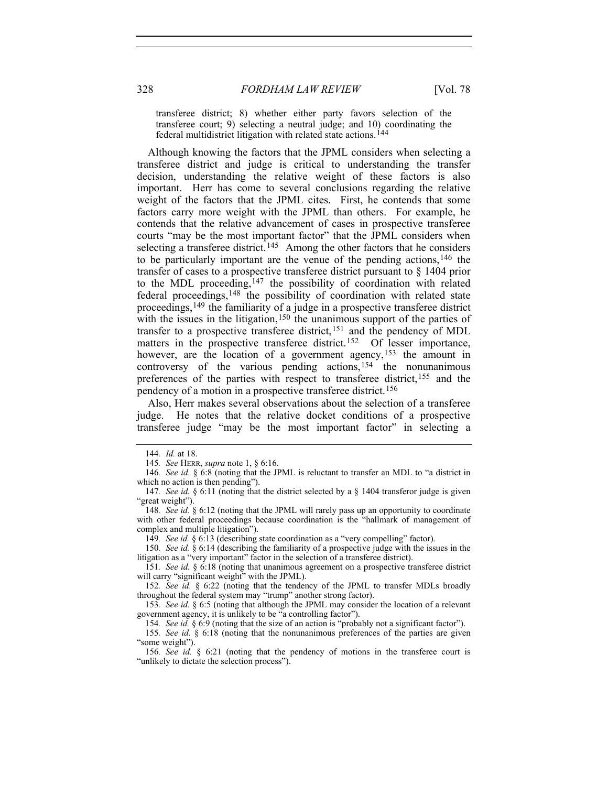transferee district; 8) whether either party favors selection of the transferee court; 9) selecting a neutral judge; and 10) coordinating the federal multidistrict litigation with related state actions.[144](#page-17-0)

 Although knowing the factors that the JPML considers when selecting a transferee district and judge is critical to understanding the transfer decision, understanding the relative weight of these factors is also important. Herr has come to several conclusions regarding the relative weight of the factors that the JPML cites. First, he contends that some factors carry more weight with the JPML than others. For example, he contends that the relative advancement of cases in prospective transferee courts "may be the most important factor" that the JPML considers when selecting a transferee district.<sup>[145](#page-17-1)</sup> Among the other factors that he considers to be particularly important are the venue of the pending actions,[146](#page-17-2) the transfer of cases to a prospective transferee district pursuant to § 1404 prior to the MDL proceeding,  $147$  the possibility of coordination with related federal proceedings,[148](#page-17-4) the possibility of coordination with related state proceedings,[149](#page-17-5) the familiarity of a judge in a prospective transferee district with the issues in the litigation,  $150$  the unanimous support of the parties of transfer to a prospective transferee district,[151](#page-17-7) and the pendency of MDL matters in the prospective transferee district.<sup>[152](#page-17-8)</sup> Of lesser importance, however, are the location of a government agency,<sup>[153](#page-17-9)</sup> the amount in controversy of the various pending actions,[154](#page-17-10) the nonunanimous preferences of the parties with respect to transferee district,[155](#page-17-11) and the pendency of a motion in a prospective transferee district.[156](#page-17-12)

Also, Herr makes several observations about the selection of a transferee judge. He notes that the relative docket conditions of a prospective transferee judge "may be the most important factor" in selecting a

149*. See id.* § 6:13 (describing state coordination as a "very compelling" factor).

<span id="page-17-6"></span><span id="page-17-5"></span>150*. See id.* § 6:14 (describing the familiarity of a prospective judge with the issues in the litigation as a "very important" factor in the selection of a transferee district).

<span id="page-17-7"></span>151*. See id.* § 6:18 (noting that unanimous agreement on a prospective transferee district will carry "significant weight" with the JPML).

<span id="page-17-8"></span>152*. See id.* § 6:22 (noting that the tendency of the JPML to transfer MDLs broadly throughout the federal system may "trump" another strong factor).

<span id="page-17-9"></span>153*. See id.* § 6:5 (noting that although the JPML may consider the location of a relevant government agency, it is unlikely to be "a controlling factor").

154*. See id.* § 6:9 (noting that the size of an action is "probably not a significant factor").

<span id="page-17-11"></span><span id="page-17-10"></span>155*. See id.* § 6:18 (noting that the nonunanimous preferences of the parties are given "some weight").

<span id="page-17-12"></span>156*. See id.* § 6:21 (noting that the pendency of motions in the transferee court is "unlikely to dictate the selection process").

<sup>144</sup>*. Id.* at 18.

<sup>145</sup>*. See* HERR, *supra* note 1, § 6:16.

<span id="page-17-2"></span><span id="page-17-1"></span><span id="page-17-0"></span><sup>146</sup>*. See id.* § 6:8 (noting that the JPML is reluctant to transfer an MDL to "a district in which no action is then pending").

<span id="page-17-3"></span><sup>147</sup>*. See id.* § 6:11 (noting that the district selected by a § 1404 transferor judge is given "great weight").

<span id="page-17-4"></span><sup>148</sup>*. See id.* § 6:12 (noting that the JPML will rarely pass up an opportunity to coordinate with other federal proceedings because coordination is the "hallmark of management of complex and multiple litigation").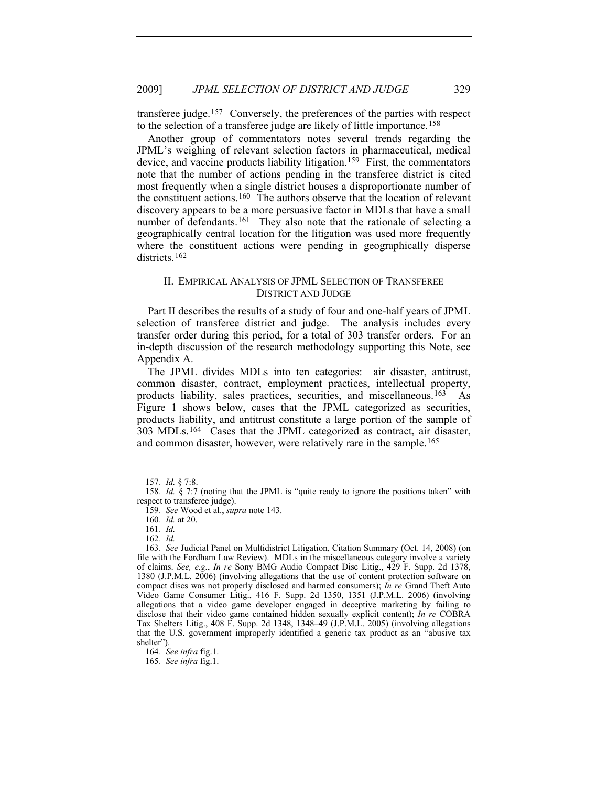transferee judge.[157](#page-18-1) Conversely, the preferences of the parties with respect to the selection of a transferee judge are likely of little importance.[158](#page-18-2)

Another group of commentators notes several trends regarding the JPML's weighing of relevant selection factors in pharmaceutical, medical device, and vaccine products liability litigation.[159](#page-18-3) First, the commentators note that the number of actions pending in the transferee district is cited most frequently when a single district houses a disproportionate number of the constituent actions.[160](#page-18-4) The authors observe that the location of relevant discovery appears to be a more persuasive factor in MDLs that have a small number of defendants.<sup>[161](#page-18-5)</sup> They also note that the rationale of selecting a geographically central location for the litigation was used more frequently where the constituent actions were pending in geographically disperse districts<sup>[162](#page-18-6)</sup>

### II. EMPIRICAL ANALYSIS OF JPML SELECTION OF TRANSFEREE DISTRICT AND JUDGE

<span id="page-18-0"></span>Part II describes the results of a study of four and one-half years of JPML selection of transferee district and judge. The analysis includes every transfer order during this period, for a total of 303 transfer orders. For an in-depth discussion of the research methodology supporting this Note, see Appendix A.

The JPML divides MDLs into ten categories: air disaster, antitrust, common disaster, contract, employment practices, intellectual property, products liability, sales practices, securities, and miscellaneous.[163](#page-18-7) As Figure 1 shows below, cases that the JPML categorized as securities, products liability, and antitrust constitute a large portion of the sample of 303 MDLs.[164](#page-18-8) Cases that the JPML categorized as contract, air disaster, and common disaster, however, were relatively rare in the sample.[165](#page-18-9)

162*. Id.*

<sup>157</sup>*. Id.* § 7:8.

<span id="page-18-3"></span><span id="page-18-2"></span><span id="page-18-1"></span><sup>158</sup>*. Id.* § 7:7 (noting that the JPML is "quite ready to ignore the positions taken" with respect to transferee judge).

<sup>159</sup>*. See* Wood et al., *supra* note 143.

<sup>160</sup>*. Id.* at 20.

<sup>161</sup>*. Id.*

<span id="page-18-7"></span><span id="page-18-6"></span><span id="page-18-5"></span><span id="page-18-4"></span><sup>163</sup>*. See* Judicial Panel on Multidistrict Litigation, Citation Summary (Oct. 14, 2008) (on file with the Fordham Law Review). MDLs in the miscellaneous category involve a variety of claims. *See, e.g.*, *In re* Sony BMG Audio Compact Disc Litig., 429 F. Supp. 2d 1378, 1380 (J.P.M.L. 2006) (involving allegations that the use of content protection software on compact discs was not properly disclosed and harmed consumers); *In re* Grand Theft Auto Video Game Consumer Litig., 416 F. Supp. 2d 1350, 1351 (J.P.M.L. 2006) (involving allegations that a video game developer engaged in deceptive marketing by failing to disclose that their video game contained hidden sexually explicit content); *In re* COBRA Tax Shelters Litig., 408 F. Supp. 2d 1348, 1348–49 (J.P.M.L. 2005) (involving allegations that the U.S. government improperly identified a generic tax product as an "abusive tax shelter").

<span id="page-18-8"></span><sup>164</sup>*. See infra* fig.1.

<span id="page-18-9"></span><sup>165</sup>*. See infra* fig.1.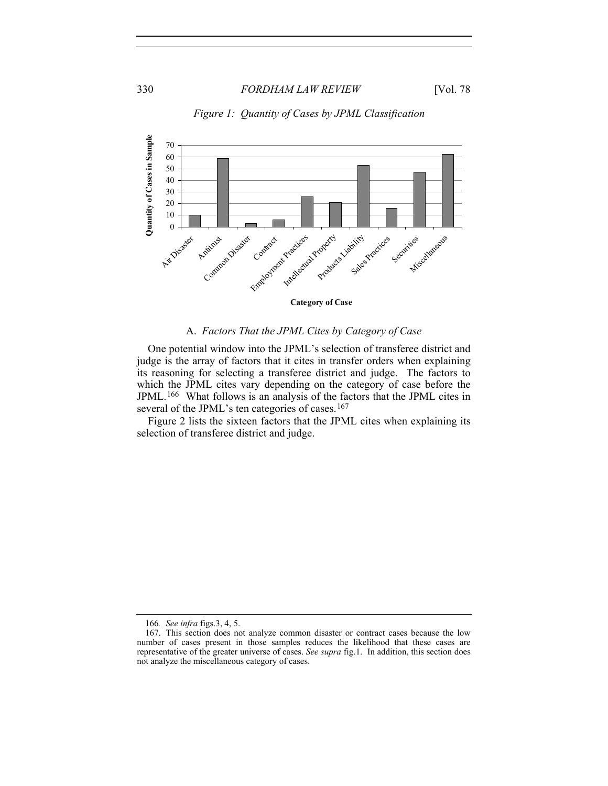

# *Figure 1: Quantity of Cases by JPML Classification*

#### A. *Factors That the JPML Cites by Category of Case*

<span id="page-19-0"></span>One potential window into the JPML's selection of transferee district and judge is the array of factors that it cites in transfer orders when explaining its reasoning for selecting a transferee district and judge. The factors to which the JPML cites vary depending on the category of case before the JPML.[166](#page-19-1) What follows is an analysis of the factors that the JPML cites in several of the JPML's ten categories of cases.<sup>[167](#page-19-2)</sup>

Figure 2 lists the sixteen factors that the JPML cites when explaining its selection of transferee district and judge.

<sup>166</sup>*. See infra* figs.3, 4, 5.

<span id="page-19-2"></span><span id="page-19-1"></span> <sup>167.</sup> This section does not analyze common disaster or contract cases because the low number of cases present in those samples reduces the likelihood that these cases are representative of the greater universe of cases. *See supra* fig.1. In addition, this section does not analyze the miscellaneous category of cases.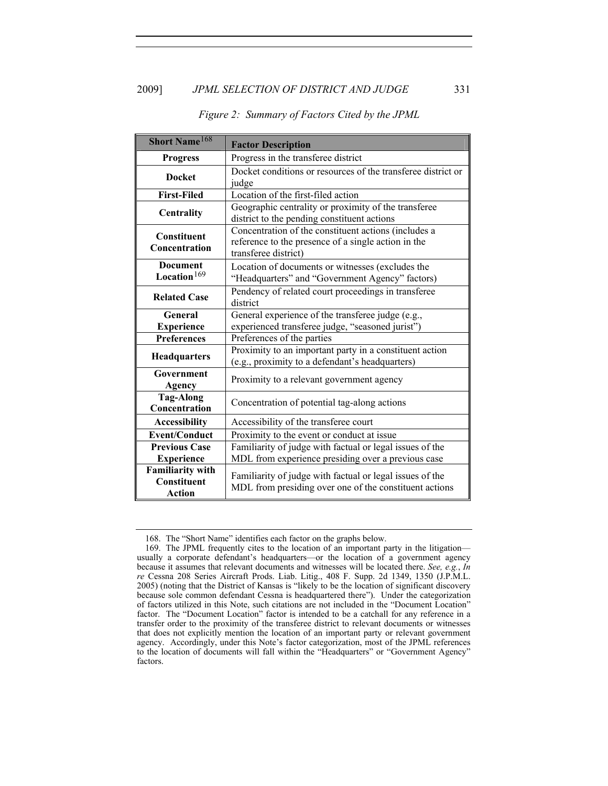| <b>Short Name</b> <sup>168</sup>                        | <b>Factor Description</b>                                                                                                           |
|---------------------------------------------------------|-------------------------------------------------------------------------------------------------------------------------------------|
| <b>Progress</b>                                         | Progress in the transferee district                                                                                                 |
| <b>Docket</b>                                           | Docket conditions or resources of the transferee district or<br>judge                                                               |
| <b>First-Filed</b>                                      | Location of the first-filed action                                                                                                  |
| Centrality                                              | Geographic centrality or proximity of the transferee<br>district to the pending constituent actions                                 |
| <b>Constituent</b><br>Concentration                     | Concentration of the constituent actions (includes a<br>reference to the presence of a single action in the<br>transferee district) |
| <b>Document</b><br>Location $169$                       | Location of documents or witnesses (excludes the<br>"Headquarters" and "Government Agency" factors)                                 |
| <b>Related Case</b>                                     | Pendency of related court proceedings in transferee<br>district                                                                     |
| General<br><b>Experience</b>                            | General experience of the transferee judge (e.g.,<br>experienced transferee judge, "seasoned jurist")                               |
| <b>Preferences</b>                                      | Preferences of the parties                                                                                                          |
| <b>Headquarters</b>                                     | Proximity to an important party in a constituent action<br>(e.g., proximity to a defendant's headquarters)                          |
| Government<br>Agency                                    | Proximity to a relevant government agency                                                                                           |
| <b>Tag-Along</b><br>Concentration                       | Concentration of potential tag-along actions                                                                                        |
| <b>Accessibility</b>                                    | Accessibility of the transferee court                                                                                               |
| <b>Event/Conduct</b>                                    | Proximity to the event or conduct at issue                                                                                          |
| <b>Previous Case</b><br><b>Experience</b>               | Familiarity of judge with factual or legal issues of the<br>MDL from experience presiding over a previous case                      |
| <b>Familiarity with</b><br>Constituent<br><b>Action</b> | Familiarity of judge with factual or legal issues of the<br>MDL from presiding over one of the constituent actions                  |

#### *Figure 2: Summary of Factors Cited by the JPML*

 <sup>168.</sup> The "Short Name" identifies each factor on the graphs below.

<span id="page-20-1"></span><span id="page-20-0"></span> <sup>169.</sup> The JPML frequently cites to the location of an important party in the litigation usually a corporate defendant's headquarters—or the location of a government agency because it assumes that relevant documents and witnesses will be located there. *See, e.g.*, *In re* Cessna 208 Series Aircraft Prods. Liab. Litig., 408 F. Supp. 2d 1349, 1350 (J.P.M.L. 2005) (noting that the District of Kansas is "likely to be the location of significant discovery because sole common defendant Cessna is headquartered there"). Under the categorization of factors utilized in this Note, such citations are not included in the "Document Location" factor. The "Document Location" factor is intended to be a catchall for any reference in a transfer order to the proximity of the transferee district to relevant documents or witnesses that does not explicitly mention the location of an important party or relevant government agency. Accordingly, under this Note's factor categorization, most of the JPML references to the location of documents will fall within the "Headquarters" or "Government Agency" factors.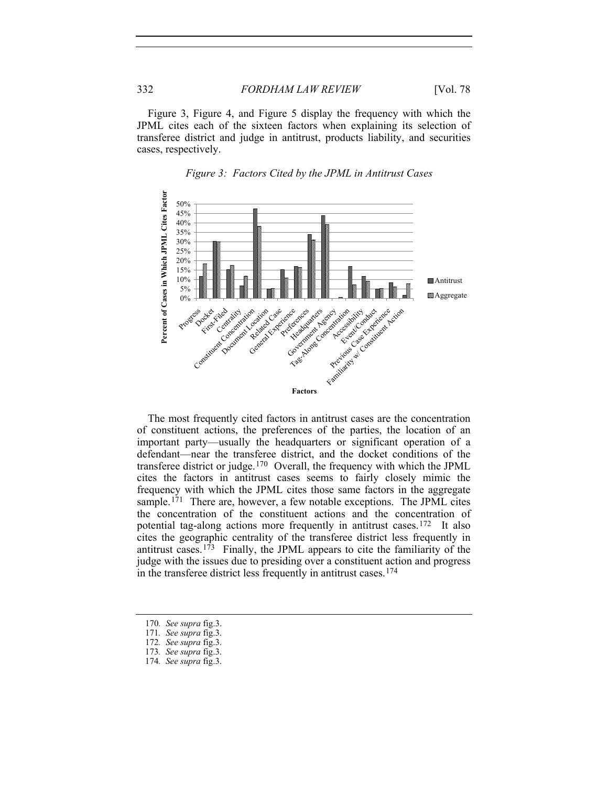Figure 3, Figure 4, and Figure 5 display the frequency with which the JPML cites each of the sixteen factors when explaining its selection of transferee district and judge in antitrust, products liability, and securities cases, respectively.





The most frequently cited factors in antitrust cases are the concentration of constituent actions, the preferences of the parties, the location of an important party—usually the headquarters or significant operation of a defendant—near the transferee district, and the docket conditions of the transferee district or judge.[170](#page-21-0) Overall, the frequency with which the JPML cites the factors in antitrust cases seems to fairly closely mimic the frequency with which the JPML cites those same factors in the aggregate sample.<sup>[171](#page-21-1)</sup> There are, however, a few notable exceptions. The JPML cites the concentration of the constituent actions and the concentration of potential tag-along actions more frequently in antitrust cases.[172](#page-21-2) It also cites the geographic centrality of the transferee district less frequently in antitrust cases.<sup>[173](#page-21-3)</sup> Finally, the JPML appears to cite the familiarity of the judge with the issues due to presiding over a constituent action and progress in the transferee district less frequently in antitrust cases.[174](#page-21-4)

<span id="page-21-1"></span><span id="page-21-0"></span><sup>170</sup>*. See supra* fig.3.

<sup>171</sup>*. See supra* fig.3.

<span id="page-21-2"></span><sup>172</sup>*. See supra* fig.3.

<span id="page-21-4"></span><span id="page-21-3"></span><sup>173</sup>*. See supra* fig.3.

<sup>174</sup>*. See supra* fig.3.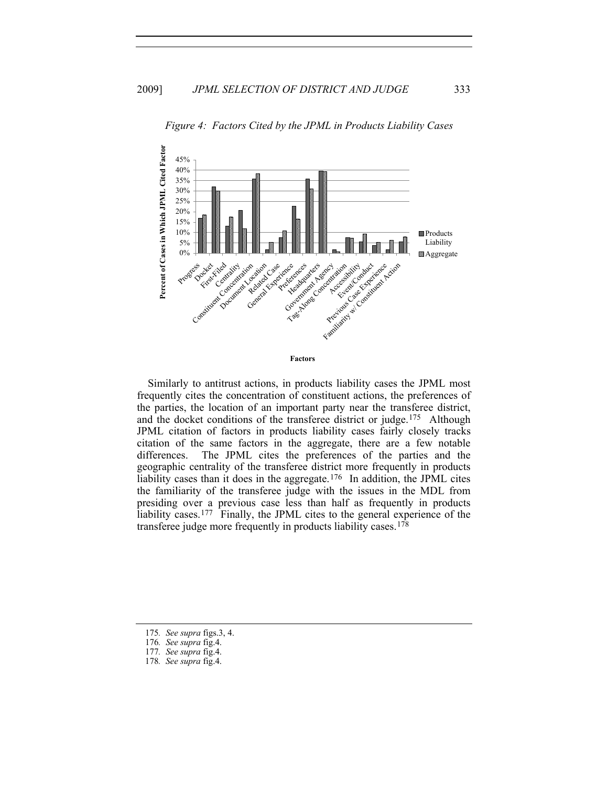

*Figure 4: Factors Cited by the JPML in Products Liability Cases*

Similarly to antitrust actions, in products liability cases the JPML most frequently cites the concentration of constituent actions, the preferences of the parties, the location of an important party near the transferee district, and the docket conditions of the transferee district or judge.<sup>175</sup> Although JPML citation of factors in products liability cases fairly closely tracks citation of the same factors in the aggregate, there are a few notable differences. The JPML cites the preferences of the parties and the geographic centrality of the transferee district more frequently in products liability cases than it does in the aggregate.<sup>[176](#page-22-1)</sup> In addition, the JPML cites the familiarity of the transferee judge with the issues in the MDL from presiding over a previous case less than half as frequently in products liability cases.<sup>[177](#page-22-2)</sup> Finally, the JPML cites to the general experience of the transferee judge more frequently in products liability cases.[178](#page-22-3)

<span id="page-22-1"></span><span id="page-22-0"></span><sup>175</sup>*. See supra* figs.3, 4.

<sup>176</sup>*. See supra* fig.4.

<span id="page-22-2"></span><sup>177</sup>*. See supra* fig.4.

<span id="page-22-3"></span><sup>178</sup>*. See supra* fig.4.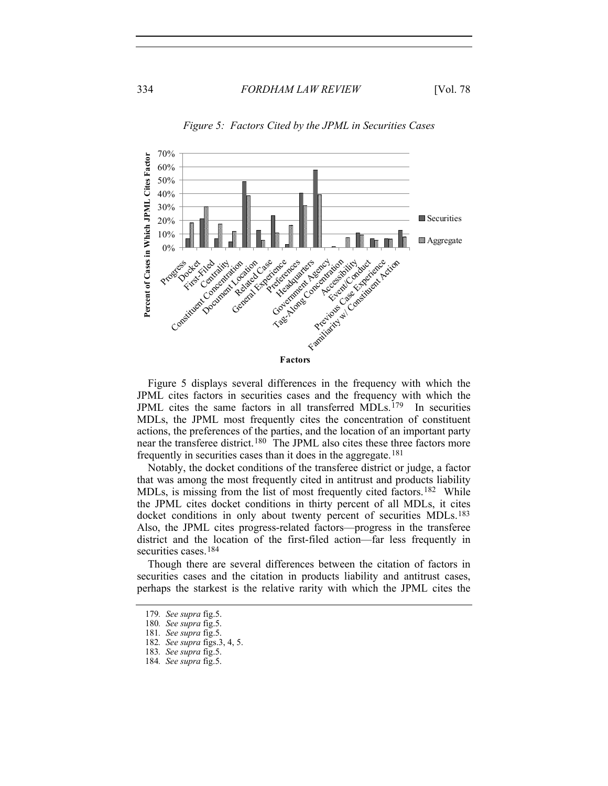

*Figure 5: Factors Cited by the JPML in Securities Cases*

Figure 5 displays several differences in the frequency with which the JPML cites factors in securities cases and the frequency with which the JPML cites the same factors in all transferred MDLs.[179](#page-23-0) In securities MDLs, the JPML most frequently cites the concentration of constituent actions, the preferences of the parties, and the location of an important party near the transferee district.<sup>[180](#page-23-1)</sup> The JPML also cites these three factors more frequently in securities cases than it does in the aggregate.[181](#page-23-2)

Notably, the docket conditions of the transferee district or judge, a factor that was among the most frequently cited in antitrust and products liability MDLs, is missing from the list of most frequently cited factors.<sup>[182](#page-23-3)</sup> While the JPML cites docket conditions in thirty percent of all MDLs, it cites docket conditions in only about twenty percent of securities MDLs.<sup>[183](#page-23-4)</sup> Also, the JPML cites progress-related factors—progress in the transferee district and the location of the first-filed action—far less frequently in securities cases.<sup>[184](#page-23-5)</sup>

Though there are several differences between the citation of factors in securities cases and the citation in products liability and antitrust cases, perhaps the starkest is the relative rarity with which the JPML cites the

<span id="page-23-2"></span><span id="page-23-1"></span><span id="page-23-0"></span><sup>179</sup>*. See supra* fig.5.

<sup>180</sup>*. See supra* fig.5.

<span id="page-23-3"></span><sup>181</sup>*. See supra* fig.5.

<span id="page-23-4"></span><sup>182</sup>*. See supra* figs.3, 4, 5.

<sup>183</sup>*. See supra* fig.5.

<span id="page-23-5"></span><sup>184</sup>*. See supra* fig.5.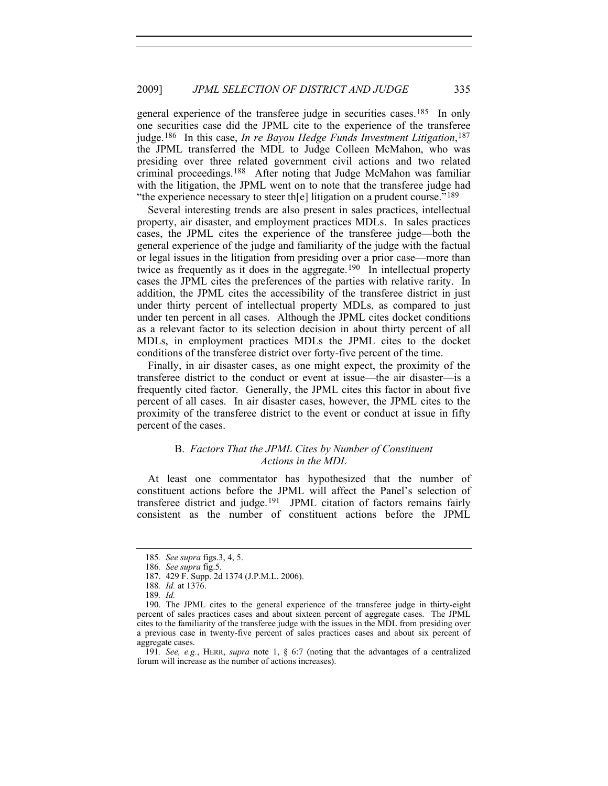general experience of the transferee judge in securities cases.[185](#page-24-1) In only one securities case did the JPML cite to the experience of the transferee judge.[186](#page-24-2) In this case, *In re Bayou Hedge Funds Investment Litigation*,[187](#page-24-3) the JPML transferred the MDL to Judge Colleen McMahon, who was presiding over three related government civil actions and two related criminal proceedings.[188](#page-24-4) After noting that Judge McMahon was familiar with the litigation, the JPML went on to note that the transferee judge had "the experience necessary to steer the llitigation on a prudent course."<sup>[189](#page-24-5)</sup>

Several interesting trends are also present in sales practices, intellectual property, air disaster, and employment practices MDLs. In sales practices cases, the JPML cites the experience of the transferee judge—both the general experience of the judge and familiarity of the judge with the factual or legal issues in the litigation from presiding over a prior case—more than twice as frequently as it does in the aggregate.[190](#page-24-6) In intellectual property cases the JPML cites the preferences of the parties with relative rarity. In addition, the JPML cites the accessibility of the transferee district in just under thirty percent of intellectual property MDLs, as compared to just under ten percent in all cases. Although the JPML cites docket conditions as a relevant factor to its selection decision in about thirty percent of all MDLs, in employment practices MDLs the JPML cites to the docket conditions of the transferee district over forty-five percent of the time.

Finally, in air disaster cases, as one might expect, the proximity of the transferee district to the conduct or event at issue—the air disaster—is a frequently cited factor. Generally, the JPML cites this factor in about five percent of all cases. In air disaster cases, however, the JPML cites to the proximity of the transferee district to the event or conduct at issue in fifty percent of the cases.

# B. *Factors That the JPML Cites by Number of Constituent Actions in the MDL*

<span id="page-24-0"></span>At least one commentator has hypothesized that the number of constituent actions before the JPML will affect the Panel's selection of transferee district and judge.[191](#page-24-7) JPML citation of factors remains fairly consistent as the number of constituent actions before the JPML

<span id="page-24-7"></span>191*. See, e.g.*, HERR, *supra* note 1, § 6:7 (noting that the advantages of a centralized forum will increase as the number of actions increases).

<span id="page-24-1"></span><sup>185</sup>*. See supra* figs.3, 4, 5.

<sup>186</sup>*. See supra* fig.5.

 <sup>187. 429</sup> F. Supp. 2d 1374 (J.P.M.L. 2006).

<sup>188</sup>*. Id.* at 1376.

<sup>189</sup>*. Id.*

<span id="page-24-6"></span><span id="page-24-5"></span><span id="page-24-4"></span><span id="page-24-3"></span><span id="page-24-2"></span> <sup>190.</sup> The JPML cites to the general experience of the transferee judge in thirty-eight percent of sales practices cases and about sixteen percent of aggregate cases. The JPML cites to the familiarity of the transferee judge with the issues in the MDL from presiding over a previous case in twenty-five percent of sales practices cases and about six percent of aggregate cases.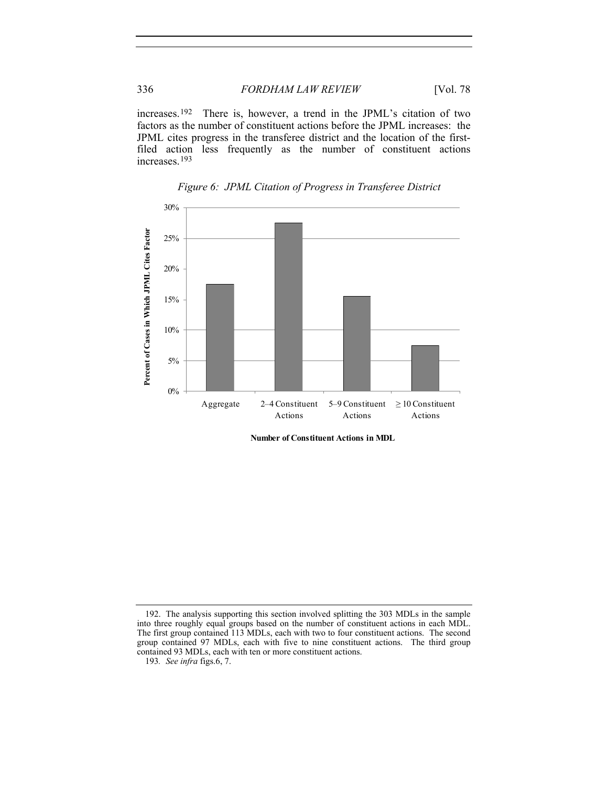increases.[192](#page-25-0) There is, however, a trend in the JPML's citation of two factors as the number of constituent actions before the JPML increases: the JPML cites progress in the transferee district and the location of the firstfiled action less frequently as the number of constituent actions increases.[193](#page-25-1)





**Number of Constituent Actions in MDL**

<span id="page-25-1"></span><span id="page-25-0"></span> <sup>192.</sup> The analysis supporting this section involved splitting the 303 MDLs in the sample into three roughly equal groups based on the number of constituent actions in each MDL. The first group contained 113 MDLs, each with two to four constituent actions. The second group contained 97 MDLs, each with five to nine constituent actions. The third group contained 93 MDLs, each with ten or more constituent actions.

<sup>193</sup>*. See infra* figs.6, 7.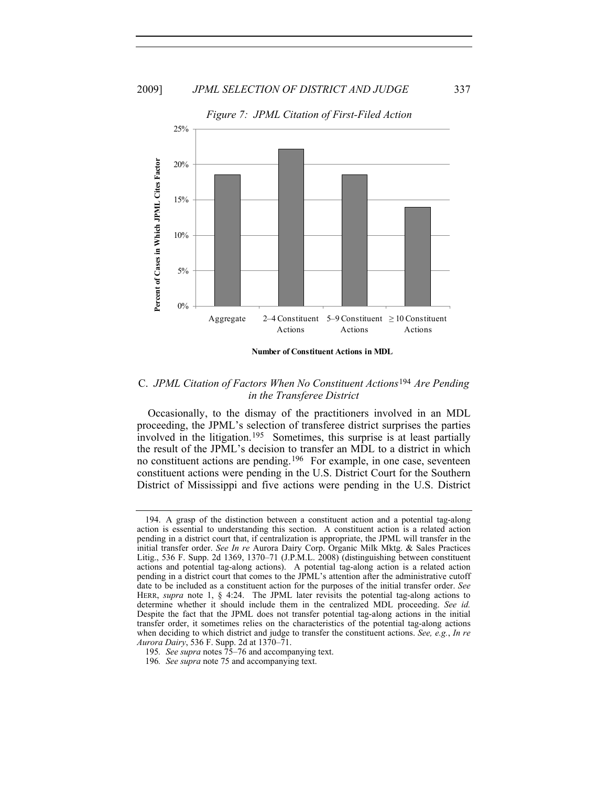

**Number of Constituent Actions in MDL**

# <span id="page-26-0"></span>C. *JPML Citation of Factors When No Constituent Actions*[194](#page-26-1) *Are Pending in the Transferee District*

Occasionally, to the dismay of the practitioners involved in an MDL proceeding, the JPML's selection of transferee district surprises the parties involved in the litigation[.195](#page-26-2) Sometimes, this surprise is at least partially the result of the JPML's decision to transfer an MDL to a district in which no constituent actions are pending.[196](#page-26-3) For example, in one case, seventeen constituent actions were pending in the U.S. District Court for the Southern District of Mississippi and five actions were pending in the U.S. District

- <span id="page-26-2"></span>195*. See supra* notes 75–76 and accompanying text.
- <span id="page-26-3"></span>196*. See supra* note 75 and accompanying text.

<span id="page-26-1"></span> <sup>194.</sup> A grasp of the distinction between a constituent action and a potential tag-along action is essential to understanding this section. A constituent action is a related action pending in a district court that, if centralization is appropriate, the JPML will transfer in the initial transfer order. *See In re* Aurora Dairy Corp. Organic Milk Mktg. & Sales Practices Litig., 536 F. Supp. 2d 1369, 1370–71 (J.P.M.L. 2008) (distinguishing between constituent actions and potential tag-along actions). A potential tag-along action is a related action pending in a district court that comes to the JPML's attention after the administrative cutoff date to be included as a constituent action for the purposes of the initial transfer order. *See* HERR, *supra* note 1, § 4:24. The JPML later revisits the potential tag-along actions to determine whether it should include them in the centralized MDL proceeding. *See id.* Despite the fact that the JPML does not transfer potential tag-along actions in the initial transfer order, it sometimes relies on the characteristics of the potential tag-along actions when deciding to which district and judge to transfer the constituent actions. *See, e.g.*, *In re Aurora Dairy*, 536 F. Supp. 2d at 1370–71.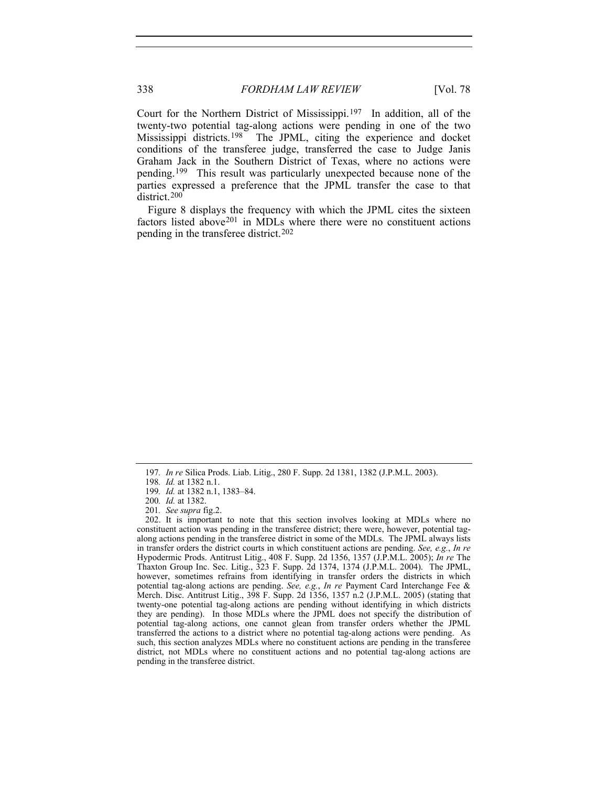Court for the Northern District of Mississippi.[197](#page-27-0) In addition, all of the twenty-two potential tag-along actions were pending in one of the two Mississippi districts.<sup>[198](#page-27-1)</sup> The JPML, citing the experience and docket conditions of the transferee judge, transferred the case to Judge Janis Graham Jack in the Southern District of Texas, where no actions were pending.[199](#page-27-2) This result was particularly unexpected because none of the parties expressed a preference that the JPML transfer the case to that district.[200](#page-27-3)

Figure 8 displays the frequency with which the JPML cites the sixteen factors listed above[201](#page-27-4) in MDLs where there were no constituent actions pending in the transferee district.[202](#page-27-5)

201*. See supra* fig.2.

<span id="page-27-0"></span><sup>197</sup>*. In re* Silica Prods. Liab. Litig., 280 F. Supp. 2d 1381, 1382 (J.P.M.L. 2003).

<sup>198</sup>*. Id.* at 1382 n.1.

<sup>199</sup>*. Id.* at 1382 n.1, 1383–84.

<sup>200</sup>*. Id.* at 1382.

<span id="page-27-5"></span><span id="page-27-4"></span><span id="page-27-3"></span><span id="page-27-2"></span><span id="page-27-1"></span> <sup>202.</sup> It is important to note that this section involves looking at MDLs where no constituent action was pending in the transferee district; there were, however, potential tagalong actions pending in the transferee district in some of the MDLs. The JPML always lists in transfer orders the district courts in which constituent actions are pending. *See, e.g.*, *In re* Hypodermic Prods. Antitrust Litig., 408 F. Supp. 2d 1356, 1357 (J.P.M.L. 2005); *In re* The Thaxton Group Inc. Sec. Litig., 323 F. Supp. 2d 1374, 1374 (J.P.M.L. 2004). The JPML, however, sometimes refrains from identifying in transfer orders the districts in which potential tag-along actions are pending. *See, e.g.*, *In re* Payment Card Interchange Fee & Merch. Disc. Antitrust Litig., 398 F. Supp. 2d 1356, 1357 n.2 (J.P.M.L. 2005) (stating that twenty-one potential tag-along actions are pending without identifying in which districts they are pending). In those MDLs where the JPML does not specify the distribution of potential tag-along actions, one cannot glean from transfer orders whether the JPML transferred the actions to a district where no potential tag-along actions were pending. As such, this section analyzes MDLs where no constituent actions are pending in the transferee district, not MDLs where no constituent actions and no potential tag-along actions are pending in the transferee district.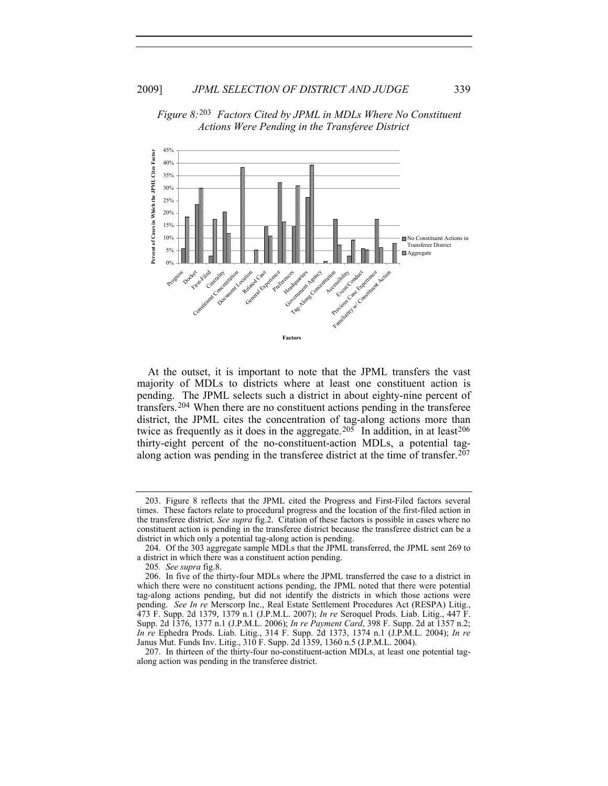

*Figure 8:*[203](#page-28-0) *Factors Cited by JPML in MDLs Where No Constituent Actions Were Pending in the Transferee District*

At the outset, it is important to note that the JPML transfers the vast majority of MDLs to districts where at least one constituent action is pending. The JPML selects such a district in about eighty-nine percent of transfers.[204](#page-28-1) When there are no constituent actions pending in the transferee district, the JPML cites the concentration of tag-along actions more than twice as frequently as it does in the aggregate.<sup>[205](#page-28-2)</sup> In addition, in at least<sup>[206](#page-28-3)</sup> thirty-eight percent of the no-constituent-action MDLs, a potential tag-along action was pending in the transferee district at the time of transfer.<sup>[207](#page-28-4)</sup>

<span id="page-28-0"></span> <sup>203.</sup> Figure 8 reflects that the JPML cited the Progress and First-Filed factors several times. These factors relate to procedural progress and the location of the first-filed action in the transferee district. *See supra* fig.2. Citation of these factors is possible in cases where no constituent action is pending in the transferee district because the transferee district can be a district in which only a potential tag-along action is pending.

<span id="page-28-1"></span> <sup>204.</sup> Of the 303 aggregate sample MDLs that the JPML transferred, the JPML sent 269 to a district in which there was a constituent action pending.

<sup>205</sup>*. See supra* fig.8.

<span id="page-28-3"></span><span id="page-28-2"></span> <sup>206.</sup> In five of the thirty-four MDLs where the JPML transferred the case to a district in which there were no constituent actions pending, the JPML noted that there were potential tag-along actions pending, but did not identify the districts in which those actions were pending. *See In re* Merscorp Inc., Real Estate Settlement Procedures Act (RESPA) Litig., 473 F. Supp. 2d 1379, 1379 n.1 (J.P.M.L. 2007); *In re* Seroquel Prods. Liab. Litig., 447 F. Supp. 2d 1376, 1377 n.1 (J.P.M.L. 2006); *In re Payment Card*, 398 F. Supp. 2d at 1357 n.2; *In re* Ephedra Prods. Liab. Litig., 314 F. Supp. 2d 1373, 1374 n.1 (J.P.M.L. 2004); *In re* Janus Mut. Funds Inv. Litig., 310 F. Supp. 2d 1359, 1360 n.5 (J.P.M.L. 2004).

<span id="page-28-4"></span> <sup>207.</sup> In thirteen of the thirty-four no-constituent-action MDLs, at least one potential tagalong action was pending in the transferee district.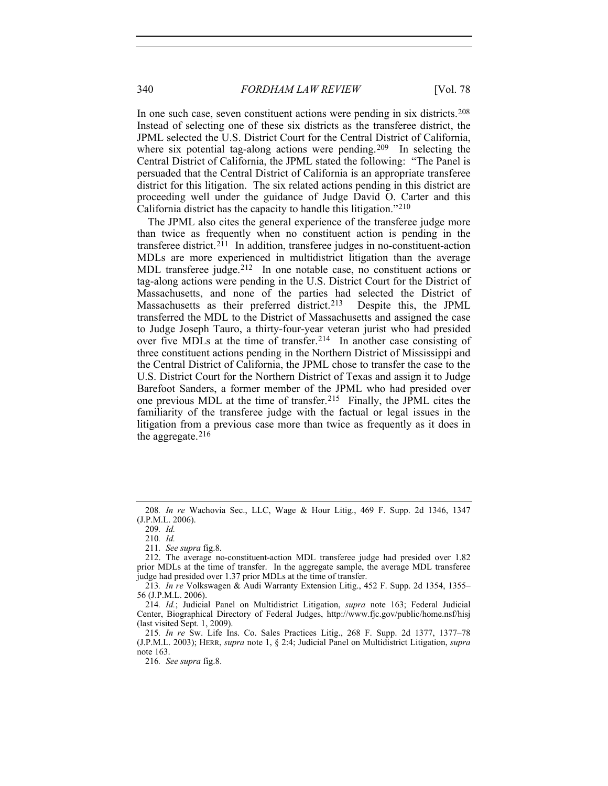In one such case, seven constituent actions were pending in six districts.<sup>[208](#page-29-0)</sup> Instead of selecting one of these six districts as the transferee district, the JPML selected the U.S. District Court for the Central District of California, where six potential tag-along actions were pending.<sup>[209](#page-29-1)</sup> In selecting the Central District of California, the JPML stated the following: "The Panel is persuaded that the Central District of California is an appropriate transferee district for this litigation. The six related actions pending in this district are proceeding well under the guidance of Judge David O. Carter and this California district has the capacity to handle this litigation."[210](#page-29-2)

The JPML also cites the general experience of the transferee judge more than twice as frequently when no constituent action is pending in the transferee district.<sup>[211](#page-29-3)</sup> In addition, transferee judges in no-constituent-action MDLs are more experienced in multidistrict litigation than the average MDL transferee judge.<sup>[212](#page-29-4)</sup> In one notable case, no constituent actions or tag-along actions were pending in the U.S. District Court for the District of Massachusetts, and none of the parties had selected the District of Massachusetts as their preferred district.[213](#page-29-5) Despite this, the JPML transferred the MDL to the District of Massachusetts and assigned the case to Judge Joseph Tauro, a thirty-four-year veteran jurist who had presided over five MDLs at the time of transfer.[214](#page-29-6) In another case consisting of three constituent actions pending in the Northern District of Mississippi and the Central District of California, the JPML chose to transfer the case to the U.S. District Court for the Northern District of Texas and assign it to Judge Barefoot Sanders, a former member of the JPML who had presided over one previous MDL at the time of transfer.[215](#page-29-7) Finally, the JPML cites the familiarity of the transferee judge with the factual or legal issues in the litigation from a previous case more than twice as frequently as it does in the aggregate. $216$ 

<span id="page-29-1"></span><span id="page-29-0"></span><sup>208</sup>*. In re* Wachovia Sec., LLC, Wage & Hour Litig., 469 F. Supp. 2d 1346, 1347 (J.P.M.L. 2006).

<sup>209</sup>*. Id.*

<sup>210</sup>*. Id.*

<sup>211</sup>*. See supra* fig.8.

<span id="page-29-4"></span><span id="page-29-3"></span><span id="page-29-2"></span> <sup>212.</sup> The average no-constituent-action MDL transferee judge had presided over 1.82 prior MDLs at the time of transfer. In the aggregate sample, the average MDL transferee judge had presided over 1.37 prior MDLs at the time of transfer.

<span id="page-29-5"></span><sup>213</sup>*. In re* Volkswagen & Audi Warranty Extension Litig., 452 F. Supp. 2d 1354, 1355– 56 (J.P.M.L. 2006).

<span id="page-29-6"></span><sup>214</sup>*. Id.*; Judicial Panel on Multidistrict Litigation, *supra* note 163; Federal Judicial Center, Biographical Directory of Federal Judges, http://www.fjc.gov/public/home.nsf/hisj (last visited Sept. 1, 2009).

<span id="page-29-8"></span><span id="page-29-7"></span><sup>215</sup>*. In re* Sw. Life Ins. Co. Sales Practices Litig., 268 F. Supp. 2d 1377, 1377–78 (J.P.M.L. 2003); HERR, *supra* note 1, § 2:4; Judicial Panel on Multidistrict Litigation, *supra* note 163.

<sup>216</sup>*. See supra* fig.8.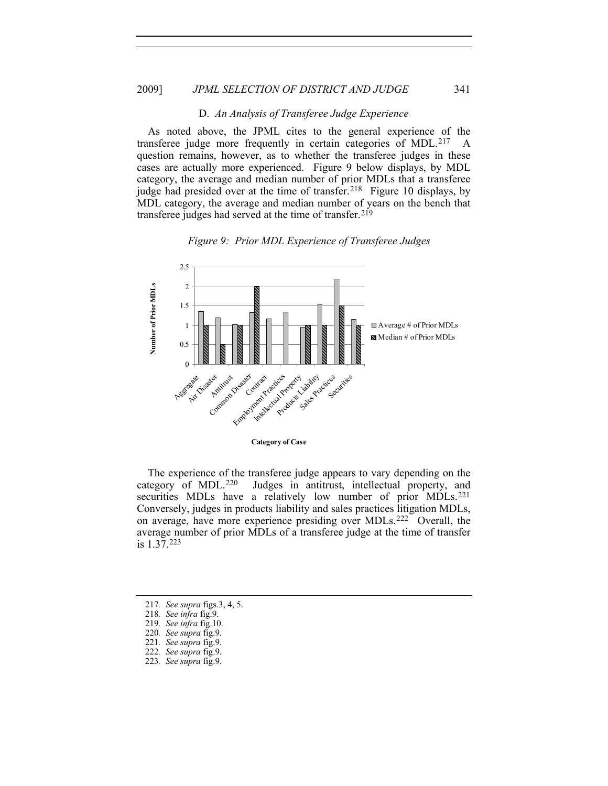#### D. *An Analysis of Transferee Judge Experience*

<span id="page-30-0"></span>As noted above, the JPML cites to the general experience of the unsferee indee more frequently in certain categories of MDL  $^{217}$  A transferee judge more frequently in certain categories of MDL.<sup>[217](#page-30-1)</sup> question remains, however, as to whether the transferee judges in these cases are actually more experienced. Figure 9 below displays, by MDL category, the average and median number of prior MDLs that a transferee judge had presided over at the time of transfer.<sup>[218](#page-30-2)</sup> Figure 10 displays, by MDL category, the average and median number of years on the bench that transferee judges had served at the time of transfer.[219](#page-30-3)





The experience of the transferee judge appears to vary depending on the category of MDL.<sup>220</sup> Judges in antitrust, intellectual property, and Judges in antitrust, intellectual property, and securities MDLs have a relatively low number of prior MDLs.<sup>[221](#page-30-5)</sup> Conversely, judges in products liability and sales practices litigation MDLs, on average, have more experience presiding over MDLs.[222](#page-30-6) Overall, the average number of prior MDLs of a transferee judge at the time of transfer is 1.37.[223](#page-30-7)

220*. See supra* fig.9.

- <span id="page-30-6"></span>222*. See supra* fig.9.
- <span id="page-30-7"></span>223*. See supra* fig.9.

<span id="page-30-3"></span><span id="page-30-2"></span><span id="page-30-1"></span><sup>217</sup>*. See supra* figs.3, 4, 5.

<span id="page-30-4"></span><sup>218</sup>*. See infra* fig.9.

<sup>219</sup>*. See infra* fig.10.

<span id="page-30-5"></span><sup>221</sup>*. See supra* fig.9.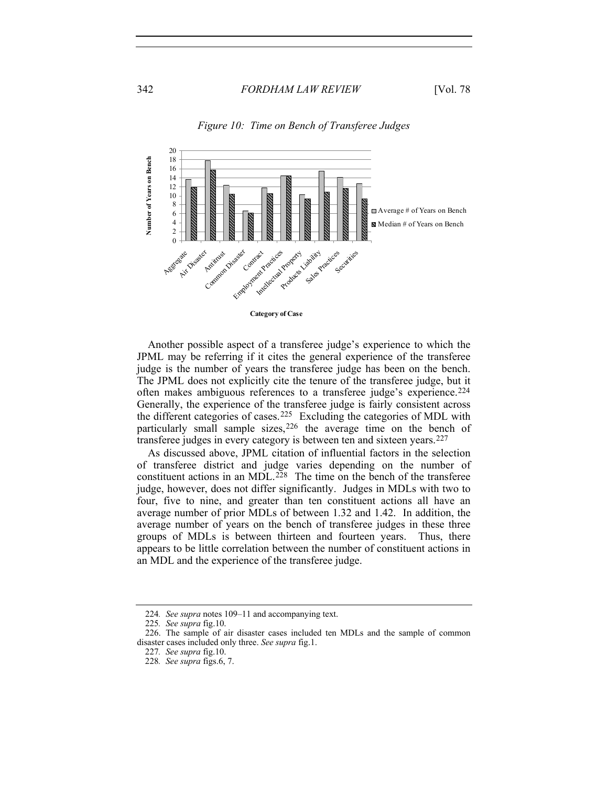

# *Figure 10: Time on Bench of Transferee Judges*

Another possible aspect of a transferee judge's experience to which the JPML may be referring if it cites the general experience of the transferee judge is the number of years the transferee judge has been on the bench. The JPML does not explicitly cite the tenure of the transferee judge, but it often makes ambiguous references to a transferee judge's experience.[224](#page-31-0) Generally, the experience of the transferee judge is fairly consistent across the different categories of cases.<sup>[225](#page-31-1)</sup> Excluding the categories of MDL with particularly small sample sizes,  $226$  the average time on the bench of transferee judges in every category is between ten and sixteen years.[227](#page-31-3)

As discussed above, JPML citation of influential factors in the selection of transferee district and judge varies depending on the number of constituent actions in an MDL.<sup>[228](#page-31-4)</sup> The time on the bench of the transferee judge, however, does not differ significantly. Judges in MDLs with two to four, five to nine, and greater than ten constituent actions all have an average number of prior MDLs of between 1.32 and 1.42. In addition, the average number of years on the bench of transferee judges in these three groups of MDLs is between thirteen and fourteen years. Thus, there appears to be little correlation between the number of constituent actions in an MDL and the experience of the transferee judge.

<sup>224</sup>*. See supra* notes 109–11 and accompanying text.

<sup>225</sup>*. See supra* fig.10.

<span id="page-31-4"></span><span id="page-31-3"></span><span id="page-31-2"></span><span id="page-31-1"></span><span id="page-31-0"></span> <sup>226.</sup> The sample of air disaster cases included ten MDLs and the sample of common disaster cases included only three. *See supra* fig.1.

<sup>227</sup>*. See supra* fig.10.

<sup>228</sup>*. See supra* figs.6, 7.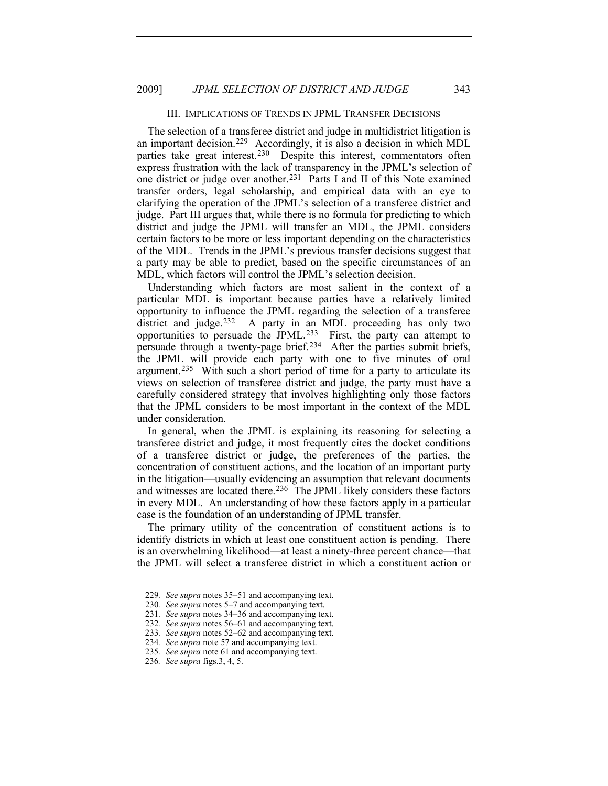#### III. IMPLICATIONS OF TRENDS IN JPML TRANSFER DECISIONS

<span id="page-32-0"></span>The selection of a transferee district and judge in multidistrict litigation is an important decision.[229](#page-32-1) Accordingly, it is also a decision in which MDL parties take great interest.<sup>[230](#page-32-2)</sup> Despite this interest, commentators often express frustration with the lack of transparency in the JPML's selection of one district or judge over another.[231](#page-32-3) Parts I and II of this Note examined transfer orders, legal scholarship, and empirical data with an eye to clarifying the operation of the JPML's selection of a transferee district and judge. Part III argues that, while there is no formula for predicting to which district and judge the JPML will transfer an MDL, the JPML considers certain factors to be more or less important depending on the characteristics of the MDL. Trends in the JPML's previous transfer decisions suggest that a party may be able to predict, based on the specific circumstances of an MDL, which factors will control the JPML's selection decision.

Understanding which factors are most salient in the context of a particular MDL is important because parties have a relatively limited opportunity to influence the JPML regarding the selection of a transferee district and judge.<sup>[232](#page-32-4)</sup> A party in an MDL proceeding has only two opportunities to persuade the JPML.[233](#page-32-5) First, the party can attempt to persuade through a twenty-page brief.<sup>[234](#page-32-6)</sup> After the parties submit briefs, the JPML will provide each party with one to five minutes of oral argument.[235](#page-32-7) With such a short period of time for a party to articulate its views on selection of transferee district and judge, the party must have a carefully considered strategy that involves highlighting only those factors that the JPML considers to be most important in the context of the MDL under consideration.

In general, when the JPML is explaining its reasoning for selecting a transferee district and judge, it most frequently cites the docket conditions of a transferee district or judge, the preferences of the parties, the concentration of constituent actions, and the location of an important party in the litigation—usually evidencing an assumption that relevant documents and witnesses are located there.[236](#page-32-8) The JPML likely considers these factors in every MDL. An understanding of how these factors apply in a particular case is the foundation of an understanding of JPML transfer.

The primary utility of the concentration of constituent actions is to identify districts in which at least one constituent action is pending. There is an overwhelming likelihood—at least a ninety-three percent chance—that the JPML will select a transferee district in which a constituent action or

<span id="page-32-2"></span><span id="page-32-1"></span><sup>229</sup>*. See supra* notes 35–51 and accompanying text.

<sup>230</sup>*. See supra* notes 5–7 and accompanying text.

<span id="page-32-3"></span><sup>231</sup>*. See supra* notes 34–36 and accompanying text.

<span id="page-32-4"></span><sup>232</sup>*. See supra* notes 56–61 and accompanying text.

<span id="page-32-5"></span><sup>233</sup>*. See supra* notes 52–62 and accompanying text.

<span id="page-32-6"></span><sup>234</sup>*. See supra* note 57 and accompanying text.

<span id="page-32-7"></span><sup>235</sup>*. See supra* note 61 and accompanying text.

<span id="page-32-8"></span><sup>236</sup>*. See supra* figs.3, 4, 5.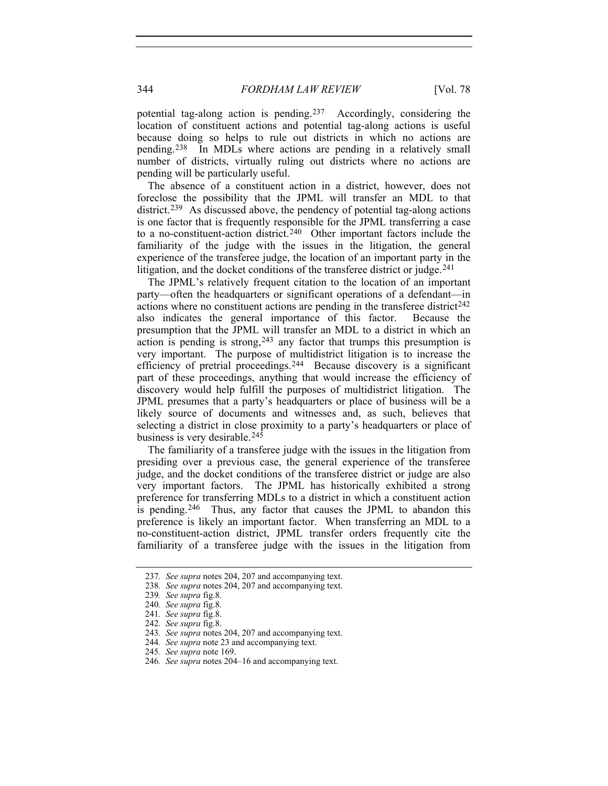potential tag-along action is pending.[237](#page-33-0) Accordingly, considering the location of constituent actions and potential tag-along actions is useful because doing so helps to rule out districts in which no actions are pending.[238](#page-33-1) In MDLs where actions are pending in a relatively small number of districts, virtually ruling out districts where no actions are pending will be particularly useful.

The absence of a constituent action in a district, however, does not foreclose the possibility that the JPML will transfer an MDL to that district.<sup>[239](#page-33-2)</sup> As discussed above, the pendency of potential tag-along actions is one factor that is frequently responsible for the JPML transferring a case to a no-constituent-action district.[240](#page-33-3) Other important factors include the familiarity of the judge with the issues in the litigation, the general experience of the transferee judge, the location of an important party in the litigation, and the docket conditions of the transferee district or judge.<sup>[241](#page-33-4)</sup>

The JPML's relatively frequent citation to the location of an important party—often the headquarters or significant operations of a defendant—in actions where no constituent actions are pending in the transferee district<sup> $242$ </sup> also indicates the general importance of this factor. Because the presumption that the JPML will transfer an MDL to a district in which an  $\alpha$  action is pending is strong,  $243$  any factor that trumps this presumption is very important. The purpose of multidistrict litigation is to increase the efficiency of pretrial proceedings.[244](#page-33-7) Because discovery is a significant part of these proceedings, anything that would increase the efficiency of discovery would help fulfill the purposes of multidistrict litigation. The JPML presumes that a party's headquarters or place of business will be a likely source of documents and witnesses and, as such, believes that selecting a district in close proximity to a party's headquarters or place of business is very desirable.<sup>[245](#page-33-8)</sup>

The familiarity of a transferee judge with the issues in the litigation from presiding over a previous case, the general experience of the transferee judge, and the docket conditions of the transferee district or judge are also very important factors. The JPML has historically exhibited a strong preference for transferring MDLs to a district in which a constituent action is pending.[246](#page-33-9) Thus, any factor that causes the JPML to abandon this preference is likely an important factor. When transferring an MDL to a no-constituent-action district, JPML transfer orders frequently cite the familiarity of a transferee judge with the issues in the litigation from

<span id="page-33-2"></span><span id="page-33-1"></span><span id="page-33-0"></span><sup>237</sup>*. See supra* notes 204, 207 and accompanying text.

<sup>238</sup>*. See supra* notes 204, 207 and accompanying text.

<sup>239</sup>*. See supra* fig.8.

<span id="page-33-3"></span><sup>240</sup>*. See supra* fig.8.

<span id="page-33-4"></span><sup>241</sup>*. See supra* fig.8.

<span id="page-33-5"></span><sup>242</sup>*. See supra* fig.8.

<span id="page-33-6"></span><sup>243</sup>*. See supra* notes 204, 207 and accompanying text.

<span id="page-33-7"></span><sup>244</sup>*. See supra* note 23 and accompanying text.

<span id="page-33-8"></span><sup>245</sup>*. See supra* note 169.

<span id="page-33-9"></span><sup>246</sup>*. See supra* notes 204–16 and accompanying text.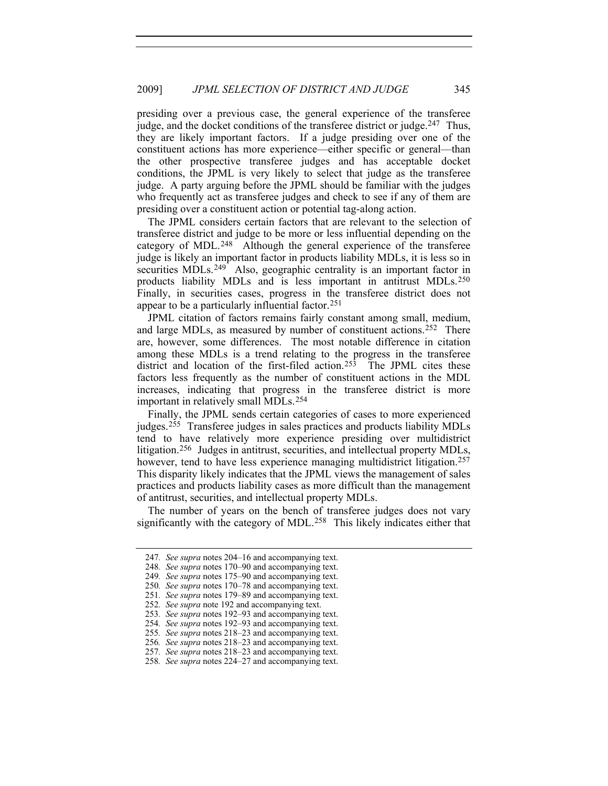presiding over a previous case, the general experience of the transferee judge, and the docket conditions of the transferee district or judge.<sup>[247](#page-34-0)</sup> Thus, they are likely important factors. If a judge presiding over one of the constituent actions has more experience—either specific or general—than the other prospective transferee judges and has acceptable docket conditions, the JPML is very likely to select that judge as the transferee judge. A party arguing before the JPML should be familiar with the judges who frequently act as transferee judges and check to see if any of them are presiding over a constituent action or potential tag-along action.

appear to be a particularly influential factor.<sup>251</sup> The JPML considers certain factors that are relevant to the selection of transferee district and judge to be more or less influential depending on the category of MDL.<sup>[248](#page-34-1)</sup> Although the general experience of the transferee judge is likely an important factor in products liability MDLs, it is less so in securities MDLs.<sup>[249](#page-34-2)</sup> Also, geographic centrality is an important factor in products liability MDLs and is less important in antitrust MDLs.[250](#page-34-3) Finally, in securities cases, progress in the transferee district does not

JPML citation of factors remains fairly constant among small, medium, and large MDLs, as measured by number of constituent actions.<sup>[252](#page-34-4)</sup> There are, however, some differences. The most notable difference in citation among these MDLs is a trend relating to the progress in the transferee district and location of the first-filed  $\alpha$  action.<sup>[253](#page-34-5)</sup> The JPML cites these factors less frequently as the number of constituent actions in the MDL increases, indicating that progress in the transferee district is more important in relatively small MDLs.[254](#page-34-6)

Finally, the JPML sends certain categories of cases to more experienced judges.[255](#page-34-7) Transferee judges in sales practices and products liability MDLs tend to have relatively more experience presiding over multidistrict litigation.[256](#page-34-8) Judges in antitrust, securities, and intellectual property MDLs, however, tend to have less experience managing multidistrict litigation.<sup>[257](#page-34-9)</sup> This disparity likely indicates that the JPML views the management of sales practices and products liability cases as more difficult than the management of antitrust, securities, and intellectual property MDLs.

<span id="page-34-0"></span>The number of years on the bench of transferee judges does not vary significantly with the category of MDL.<sup>[258](#page-34-10)</sup> This likely indicates either that

<sup>247</sup>*. See supra* notes 204–16 and accompanying text.

<span id="page-34-1"></span><sup>248</sup>*. See supra* notes 170–90 and accompanying text.

<span id="page-34-2"></span><sup>249</sup>*. See supra* notes 175–90 and accompanying text.

<span id="page-34-3"></span><sup>250</sup>*. See supra* notes 170–78 and accompanying text.

<span id="page-34-4"></span><sup>251</sup>*. See supra* notes 179–89 and accompanying text. 252*. See supra* note 192 and accompanying text.

<span id="page-34-5"></span><sup>253</sup>*. See supra* notes 192–93 and accompanying text.

<span id="page-34-6"></span><sup>254</sup>*. See supra* notes 192–93 and accompanying text.

<span id="page-34-7"></span><sup>255</sup>*. See supra* notes 218–23 and accompanying text.

<span id="page-34-8"></span><sup>256</sup>*. See supra* notes 218–23 and accompanying text.

<span id="page-34-9"></span><sup>257</sup>*. See supra* notes 218–23 and accompanying text.

<span id="page-34-10"></span><sup>258</sup>*. See supra* notes 224–27 and accompanying text.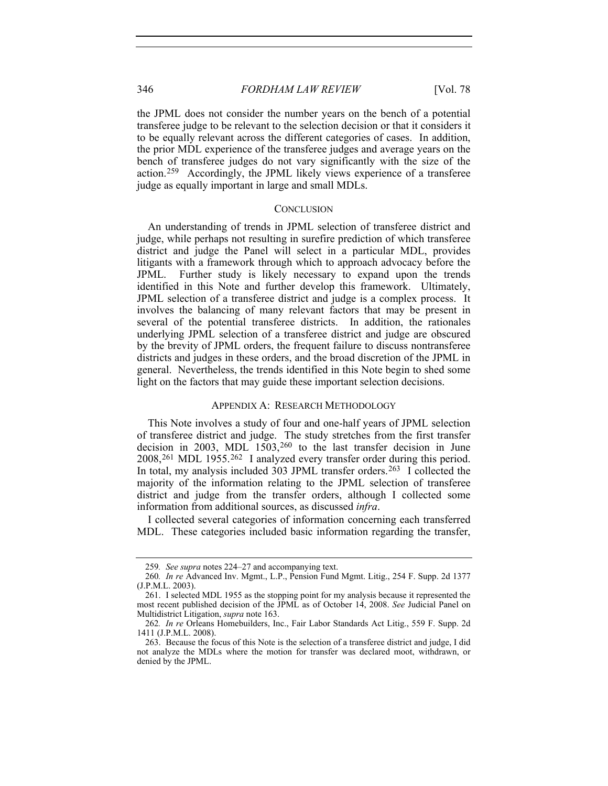the JPML does not consider the number years on the bench of a potential transferee judge to be relevant to the selection decision or that it considers it to be equally relevant across the different categories of cases. In addition, the prior MDL experience of the transferee judges and average years on the bench of transferee judges do not vary significantly with the size of the action.[259](#page-35-2) Accordingly, the JPML likely views experience of a transferee judge as equally important in large and small MDLs.

#### **CONCLUSION**

<span id="page-35-0"></span>An understanding of trends in JPML selection of transferee district and judge, while perhaps not resulting in surefire prediction of which transferee district and judge the Panel will select in a particular MDL, provides litigants with a framework through which to approach advocacy before the JPML. Further study is likely necessary to expand upon the trends Further study is likely necessary to expand upon the trends identified in this Note and further develop this framework. Ultimately, JPML selection of a transferee district and judge is a complex process. It involves the balancing of many relevant factors that may be present in several of the potential transferee districts. In addition, the rationales underlying JPML selection of a transferee district and judge are obscured by the brevity of JPML orders, the frequent failure to discuss nontransferee districts and judges in these orders, and the broad discretion of the JPML in general. Nevertheless, the trends identified in this Note begin to shed some light on the factors that may guide these important selection decisions.

#### APPENDIX A: RESEARCH METHODOLOGY

<span id="page-35-1"></span>This Note involves a study of four and one-half years of JPML selection of transferee district and judge. The study stretches from the first transfer decision in 2003, MDL 1503,[260](#page-35-3) to the last transfer decision in June 2008,[261](#page-35-4) MDL 1955.[262](#page-35-5) I analyzed every transfer order during this period. In total, my analysis included 303 JPML transfer orders.<sup>[263](#page-35-6)</sup> I collected the majority of the information relating to the JPML selection of transferee district and judge from the transfer orders, although I collected some information from additional sources, as discussed *infra*.

I collected several categories of information concerning each transferred MDL. These categories included basic information regarding the transfer,

<sup>259</sup>*. See supra* notes 224–27 and accompanying text.

<span id="page-35-3"></span><span id="page-35-2"></span><sup>260</sup>*. In re* Advanced Inv. Mgmt., L.P., Pension Fund Mgmt. Litig., 254 F. Supp. 2d 1377 (J.P.M.L. 2003).

<span id="page-35-4"></span> <sup>261.</sup> I selected MDL 1955 as the stopping point for my analysis because it represented the most recent published decision of the JPML as of October 14, 2008. *See* Judicial Panel on Multidistrict Litigation, *supra* note 163.

<span id="page-35-5"></span><sup>262</sup>*. In re* Orleans Homebuilders, Inc., Fair Labor Standards Act Litig., 559 F. Supp. 2d 1411 (J.P.M.L. 2008).

<span id="page-35-6"></span> <sup>263.</sup> Because the focus of this Note is the selection of a transferee district and judge, I did not analyze the MDLs where the motion for transfer was declared moot, withdrawn, or denied by the JPML.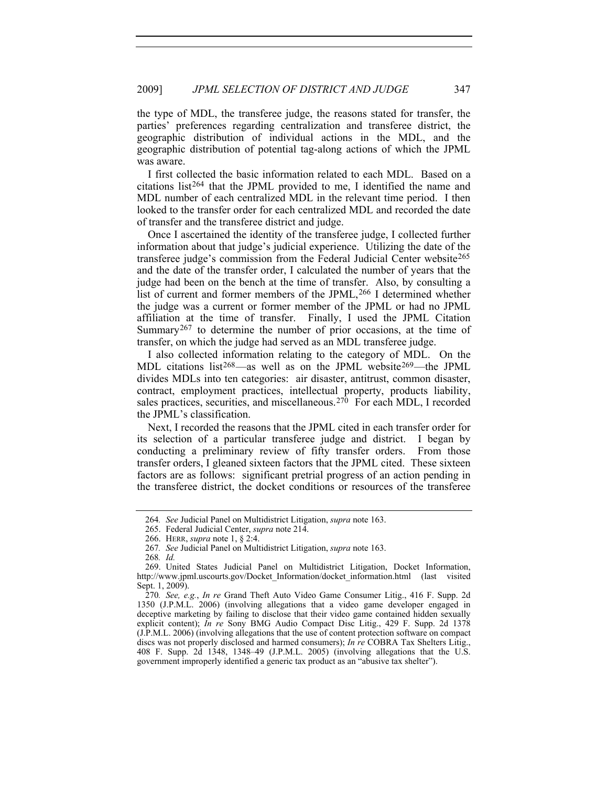the type of MDL, the transferee judge, the reasons stated for transfer, the parties' preferences regarding centralization and transferee district, the geographic distribution of individual actions in the MDL, and the geographic distribution of potential tag-along actions of which the JPML was aware.

I first collected the basic information related to each MDL. Based on a citations list[264](#page-36-0) that the JPML provided to me, I identified the name and MDL number of each centralized MDL in the relevant time period. I then looked to the transfer order for each centralized MDL and recorded the date of transfer and the transferee district and judge.

Once I ascertained the identity of the transferee judge, I collected further information about that judge's judicial experience. Utilizing the date of the transferee judge's commission from the Federal Judicial Center website[265](#page-36-1) and the date of the transfer order, I calculated the number of years that the judge had been on the bench at the time of transfer. Also, by consulting a list of current and former members of the JPML,<sup>[266](#page-36-2)</sup> I determined whether the judge was a current or former member of the JPML or had no JPML affiliation at the time of transfer. Finally, I used the JPML Citation Summary<sup>[267](#page-36-3)</sup> to determine the number of prior occasions, at the time of transfer, on which the judge had served as an MDL transferee judge.

I also collected information relating to the category of MDL. On the MDL citations list<sup>[268](#page-36-4)</sup>—as well as on the JPML website<sup>[269](#page-36-5)</sup>—the JPML divides MDLs into ten categories: air disaster, antitrust, common disaster, contract, employment practices, intellectual property, products liability, sales practices, securities, and miscellaneous.[270](#page-36-6) For each MDL, I recorded the JPML's classification.

Next, I recorded the reasons that the JPML cited in each transfer order for its selection of a particular transferee judge and district. I began by conducting a preliminary review of fifty transfer orders. From those transfer orders, I gleaned sixteen factors that the JPML cited. These sixteen factors are as follows: significant pretrial progress of an action pending in the transferee district, the docket conditions or resources of the transferee

<sup>264</sup>*. See* Judicial Panel on Multidistrict Litigation, *supra* note 163.

 <sup>265.</sup> Federal Judicial Center, *supra* note 214.

 <sup>266.</sup> HERR, *supra* note 1, § 2:4.

<sup>267</sup>*. See* Judicial Panel on Multidistrict Litigation, *supra* note 163.

<sup>268</sup>*. Id.*

<span id="page-36-5"></span><span id="page-36-4"></span><span id="page-36-3"></span><span id="page-36-2"></span><span id="page-36-1"></span><span id="page-36-0"></span> <sup>269.</sup> United States Judicial Panel on Multidistrict Litigation, Docket Information, http://www.jpml.uscourts.gov/Docket\_Information/docket\_information.html (last visited Sept. 1, 2009).

<span id="page-36-6"></span><sup>270</sup>*. See, e.g.*, *In re* Grand Theft Auto Video Game Consumer Litig., 416 F. Supp. 2d 1350 (J.P.M.L. 2006) (involving allegations that a video game developer engaged in deceptive marketing by failing to disclose that their video game contained hidden sexually explicit content); *In re* Sony BMG Audio Compact Disc Litig., 429 F. Supp. 2d 1378 (J.P.M.L. 2006) (involving allegations that the use of content protection software on compact discs was not properly disclosed and harmed consumers); *In re* COBRA Tax Shelters Litig., 408 F. Supp. 2d 1348, 1348–49 (J.P.M.L. 2005) (involving allegations that the U.S. government improperly identified a generic tax product as an "abusive tax shelter").